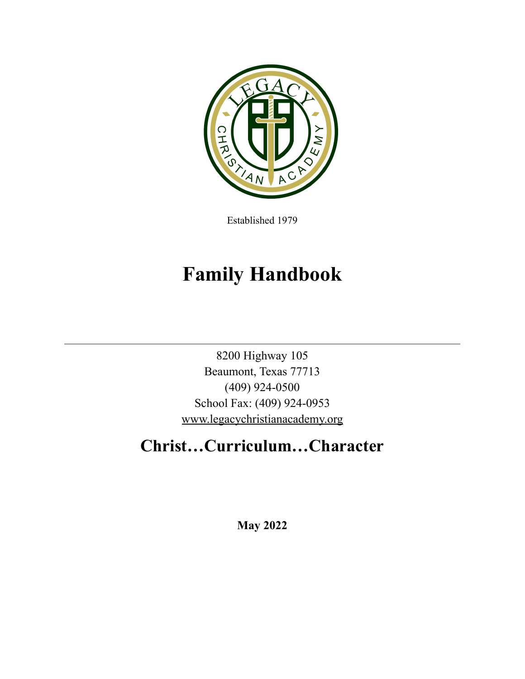

Established 1979

# **Family Handbook**

8200 Highway 105 Beaumont, Texas 77713 (409) 924-0500 School Fax: (409) 924-0953 [www.legacychristianacademy.org](http://www.legacychristianacademy.org)

# **Christ…Curriculum…Character**

**May 2022**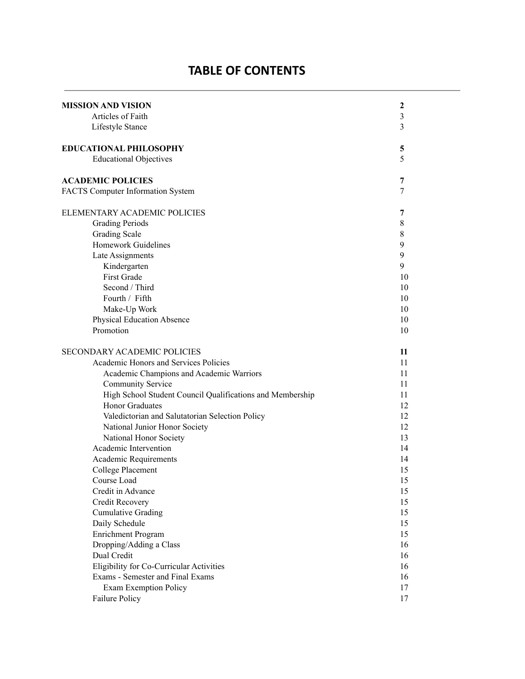## **TABLE OF CONTENTS**

| MISSION AND VISION                                        | 2  |
|-----------------------------------------------------------|----|
| Articles of Faith                                         | 3  |
| Lifestyle Stance                                          | 3  |
| <b>EDUCATIONAL PHILOSOPHY</b>                             | 5  |
| <b>Educational Objectives</b>                             | 5  |
| <b>ACADEMIC POLICIES</b>                                  | 7  |
| <b>FACTS Computer Information System</b>                  | 7  |
| ELEMENTARY ACADEMIC POLICIES                              | 7  |
| <b>Grading Periods</b>                                    | 8  |
| <b>Grading Scale</b>                                      | 8  |
| <b>Homework Guidelines</b>                                | 9  |
| Late Assignments                                          | 9  |
| Kindergarten                                              | 9  |
| First Grade                                               | 10 |
| Second / Third                                            | 10 |
| Fourth / Fifth                                            | 10 |
| Make-Up Work                                              | 10 |
| <b>Physical Education Absence</b>                         | 10 |
| Promotion                                                 | 10 |
| SECONDARY ACADEMIC POLICIES                               | 11 |
| Academic Honors and Services Policies                     | 11 |
| Academic Champions and Academic Warriors                  | 11 |
| <b>Community Service</b>                                  | 11 |
| High School Student Council Qualifications and Membership | 11 |
| <b>Honor Graduates</b>                                    | 12 |
| Valedictorian and Salutatorian Selection Policy           | 12 |
| National Junior Honor Society                             | 12 |
| National Honor Society                                    | 13 |
| Academic Intervention                                     | 14 |
| Academic Requirements                                     | 14 |
| <b>College Placement</b>                                  | 15 |
| Course Load                                               | 15 |
| Credit in Advance                                         | 15 |
| Credit Recovery                                           | 15 |
| <b>Cumulative Grading</b>                                 | 15 |
| Daily Schedule                                            | 15 |
| Enrichment Program                                        | 15 |
| Dropping/Adding a Class                                   | 16 |
| Dual Credit                                               | 16 |
| Eligibility for Co-Curricular Activities                  | 16 |
| Exams - Semester and Final Exams                          | 16 |
| <b>Exam Exemption Policy</b>                              | 17 |
| <b>Failure Policy</b>                                     | 17 |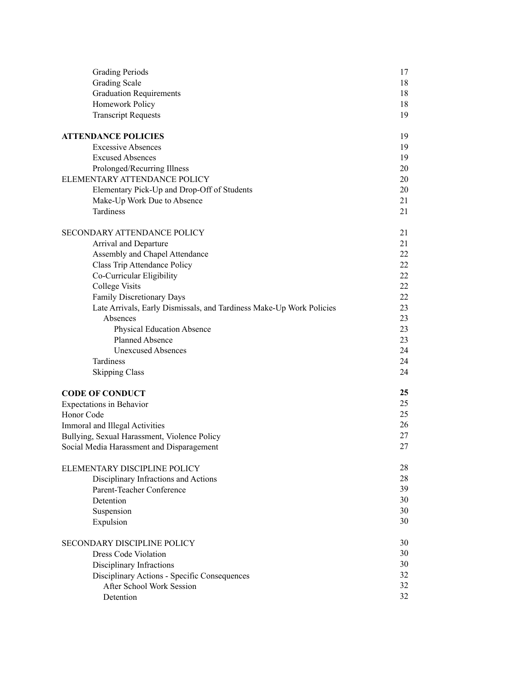| <b>Grading Periods</b>                                               | 17 |
|----------------------------------------------------------------------|----|
| <b>Grading Scale</b>                                                 | 18 |
| <b>Graduation Requirements</b>                                       | 18 |
| Homework Policy                                                      | 18 |
| <b>Transcript Requests</b>                                           | 19 |
| <b>ATTENDANCE POLICIES</b>                                           | 19 |
| <b>Excessive Absences</b>                                            | 19 |
| <b>Excused Absences</b>                                              | 19 |
| Prolonged/Recurring Illness                                          | 20 |
| ELEMENTARY ATTENDANCE POLICY                                         | 20 |
| Elementary Pick-Up and Drop-Off of Students                          | 20 |
| Make-Up Work Due to Absence                                          | 21 |
| Tardiness                                                            | 21 |
| SECONDARY ATTENDANCE POLICY                                          | 21 |
| Arrival and Departure                                                | 21 |
| Assembly and Chapel Attendance                                       | 22 |
| Class Trip Attendance Policy                                         | 22 |
| Co-Curricular Eligibility                                            | 22 |
| <b>College Visits</b>                                                | 22 |
| <b>Family Discretionary Days</b>                                     | 22 |
| Late Arrivals, Early Dismissals, and Tardiness Make-Up Work Policies | 23 |
| Absences                                                             | 23 |
| <b>Physical Education Absence</b>                                    | 23 |
| Planned Absence                                                      | 23 |
| <b>Unexcused Absences</b>                                            | 24 |
| Tardiness                                                            | 24 |
| <b>Skipping Class</b>                                                | 24 |
| <b>CODE OF CONDUCT</b>                                               | 25 |
| Expectations in Behavior                                             | 25 |
| Honor Code                                                           | 25 |
| Immoral and Illegal Activities                                       | 26 |
| Bullying, Sexual Harassment, Violence Policy                         | 27 |
| Social Media Harassment and Disparagement                            | 27 |
| ELEMENTARY DISCIPLINE POLICY                                         | 28 |
| Disciplinary Infractions and Actions                                 | 28 |
| Parent-Teacher Conference                                            | 39 |
| Detention                                                            | 30 |
| Suspension                                                           | 30 |
| Expulsion                                                            | 30 |
| SECONDARY DISCIPLINE POLICY                                          | 30 |
| <b>Dress Code Violation</b>                                          | 30 |
| Disciplinary Infractions                                             | 30 |
| Disciplinary Actions - Specific Consequences                         | 32 |
| After School Work Session                                            | 32 |
| Detention                                                            | 32 |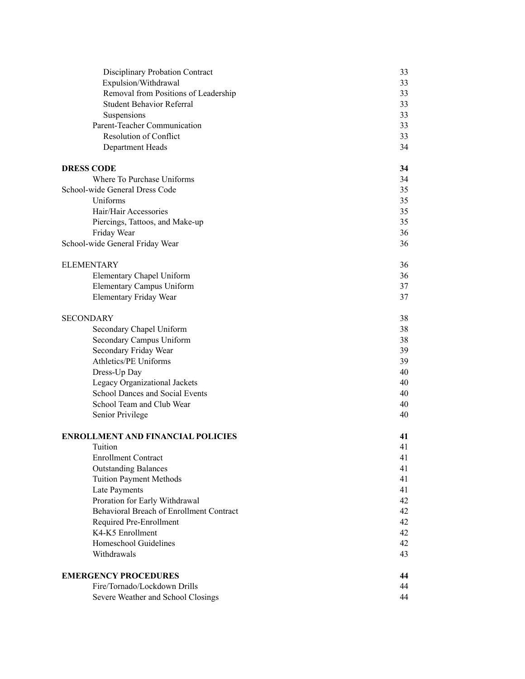| Disciplinary Probation Contract          | 33 |
|------------------------------------------|----|
| Expulsion/Withdrawal                     | 33 |
| Removal from Positions of Leadership     | 33 |
| <b>Student Behavior Referral</b>         | 33 |
| Suspensions                              | 33 |
| Parent-Teacher Communication             | 33 |
| <b>Resolution of Conflict</b>            | 33 |
| Department Heads                         | 34 |
| <b>DRESS CODE</b>                        | 34 |
| Where To Purchase Uniforms               | 34 |
| School-wide General Dress Code           | 35 |
| Uniforms                                 | 35 |
| Hair/Hair Accessories                    | 35 |
| Piercings, Tattoos, and Make-up          | 35 |
| Friday Wear                              | 36 |
| School-wide General Friday Wear          | 36 |
| <b>ELEMENTARY</b>                        | 36 |
| Elementary Chapel Uniform                | 36 |
| <b>Elementary Campus Uniform</b>         | 37 |
| Elementary Friday Wear                   | 37 |
| <b>SECONDARY</b>                         | 38 |
| Secondary Chapel Uniform                 | 38 |
| Secondary Campus Uniform                 | 38 |
| Secondary Friday Wear                    | 39 |
| <b>Athletics/PE Uniforms</b>             | 39 |
| Dress-Up Day                             | 40 |
| Legacy Organizational Jackets            | 40 |
| School Dances and Social Events          | 40 |
| School Team and Club Wear                | 40 |
| Senior Privilege                         | 40 |
| <b>ENROLLMENT AND FINANCIAL POLICIES</b> | 41 |
| Tuition                                  | 41 |
| <b>Enrollment Contract</b>               | 41 |
| <b>Outstanding Balances</b>              | 41 |
| <b>Tuition Payment Methods</b>           | 41 |
| Late Payments                            | 41 |
| Proration for Early Withdrawal           | 42 |
| Behavioral Breach of Enrollment Contract | 42 |
| Required Pre-Enrollment                  | 42 |
| K4-K5 Enrollment                         | 42 |
| Homeschool Guidelines                    | 42 |
| Withdrawals                              | 43 |
| <b>EMERGENCY PROCEDURES</b>              | 44 |
| Fire/Tornado/Lockdown Drills             | 44 |
| Severe Weather and School Closings       | 44 |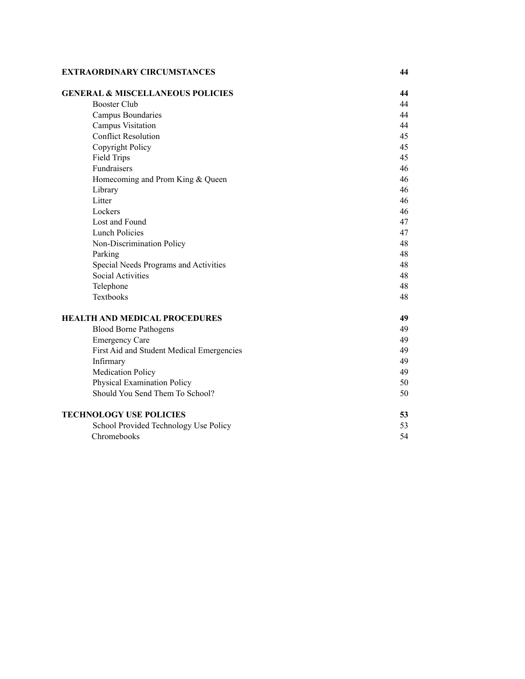#### **EXTRAORDINARY CIRCUMSTANCES**

| <b>GENERAL &amp; MISCELLANEOUS POLICIES</b> | 44 |
|---------------------------------------------|----|
| <b>Booster Club</b>                         | 44 |
| Campus Boundaries                           | 44 |
| Campus Visitation                           | 44 |
| <b>Conflict Resolution</b>                  | 45 |
| Copyright Policy                            | 45 |
| <b>Field Trips</b>                          | 45 |
| Fundraisers                                 | 46 |
| Homecoming and Prom King & Queen            | 46 |
| Library                                     | 46 |
| Litter                                      | 46 |
| Lockers                                     | 46 |
| Lost and Found                              | 47 |
| <b>Lunch Policies</b>                       | 47 |
| Non-Discrimination Policy                   | 48 |
| Parking                                     | 48 |
| Special Needs Programs and Activities       | 48 |
| <b>Social Activities</b>                    | 48 |
| Telephone                                   | 48 |
| Textbooks                                   | 48 |
| HEALTH AND MEDICAL PROCEDURES               | 49 |
| <b>Blood Borne Pathogens</b>                | 49 |
| <b>Emergency Care</b>                       | 49 |
| First Aid and Student Medical Emergencies   | 49 |
| Infirmary                                   | 49 |
| <b>Medication Policy</b>                    | 49 |
| Physical Examination Policy                 | 50 |
| Should You Send Them To School?             | 50 |
| <b>TECHNOLOGY USE POLICIES</b>              | 53 |
| School Provided Technology Use Policy       | 53 |
| Chromebooks                                 | 54 |

**4 4**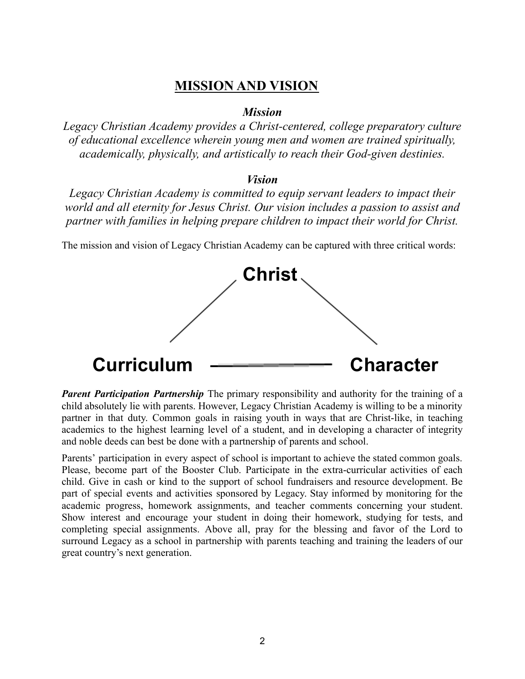## **MISSION AND VISION**

#### *Mission*

*Legacy Christian Academy provides a Christ-centered, college preparatory culture of educational excellence wherein young men and women are trained spiritually, academically, physically, and artistically to reach their God-given destinies.*

#### *Vision*

*Legacy Christian Academy is committed to equip servant leaders to impact their world and all eternity for Jesus Christ. Our vision includes a passion to assist and partner with families in helping prepare children to impact their world for Christ.*

The mission and vision of Legacy Christian Academy can be captured with three critical words:



*Parent Participation Partnership* The primary responsibility and authority for the training of a child absolutely lie with parents. However, Legacy Christian Academy is willing to be a minority partner in that duty. Common goals in raising youth in ways that are Christ-like, in teaching academics to the highest learning level of a student, and in developing a character of integrity and noble deeds can best be done with a partnership of parents and school.

Parents' participation in every aspect of school is important to achieve the stated common goals. Please, become part of the Booster Club. Participate in the extra-curricular activities of each child. Give in cash or kind to the support of school fundraisers and resource development. Be part of special events and activities sponsored by Legacy. Stay informed by monitoring for the academic progress, homework assignments, and teacher comments concerning your student. Show interest and encourage your student in doing their homework, studying for tests, and completing special assignments. Above all, pray for the blessing and favor of the Lord to surround Legacy as a school in partnership with parents teaching and training the leaders of our great country's next generation.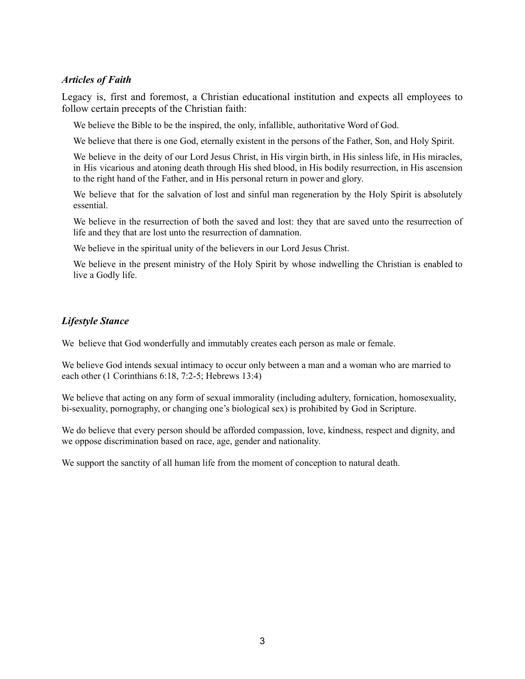#### *Articles of Faith*

Legacy is, first and foremost, a Christian educational institution and expects all employees to follow certain precepts of the Christian faith:

We believe the Bible to be the inspired, the only, infallible, authoritative Word of God.

We believe that there is one God, eternally existent in the persons of the Father, Son, and Holy Spirit.

We believe in the deity of our Lord Jesus Christ, in His virgin birth, in His sinless life, in His miracles, in His vicarious and atoning death through His shed blood, in His bodily resurrection, in His ascension to the right hand of the Father, and in His personal return in power and glory.

We believe that for the salvation of lost and sinful man regeneration by the Holy Spirit is absolutely essential.

We believe in the resurrection of both the saved and lost: they that are saved unto the resurrection of life and they that are lost unto the resurrection of damnation.

We believe in the spiritual unity of the believers in our Lord Jesus Christ.

We believe in the present ministry of the Holy Spirit by whose indwelling the Christian is enabled to live a Godly life.

#### *Lifestyle Stance*

We believe that God wonderfully and immutably creates each person as male or female.

We believe God intends sexual intimacy to occur only between a man and a woman who are married to each other (1 Corinthians 6:18, 7:2-5; Hebrews 13:4)

We believe that acting on any form of sexual immorality (including adultery, fornication, homosexuality, bi-sexuality, pornography, or changing one's biological sex) is prohibited by God in Scripture.

We do believe that every person should be afforded compassion, love, kindness, respect and dignity, and we oppose discrimination based on race, age, gender and nationality.

We support the sanctity of all human life from the moment of conception to natural death.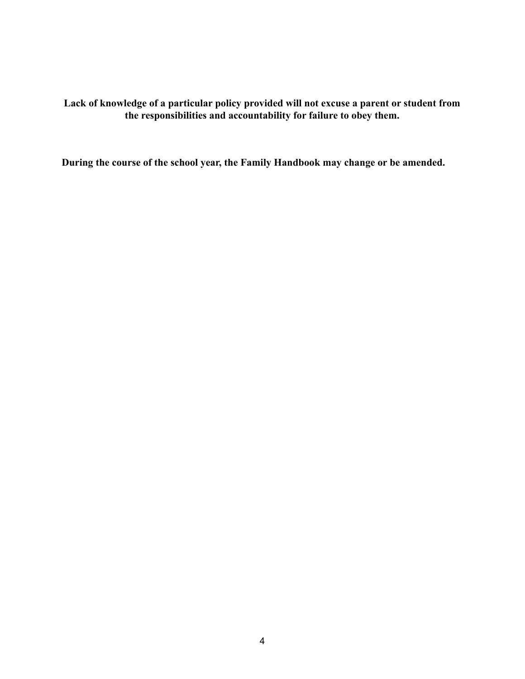**Lack of knowledge of a particular policy provided will not excuse a parent or student from the responsibilities and accountability for failure to obey them.**

**During the course of the school year, the Family Handbook may change or be amended.**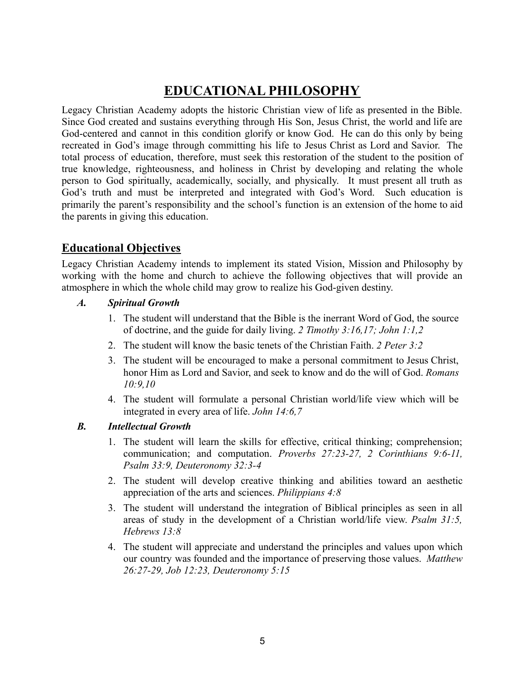# **EDUCATIONAL PHILOSOPHY**

Legacy Christian Academy adopts the historic Christian view of life as presented in the Bible. Since God created and sustains everything through His Son, Jesus Christ, the world and life are God-centered and cannot in this condition glorify or know God. He can do this only by being recreated in God's image through committing his life to Jesus Christ as Lord and Savior. The total process of education, therefore, must seek this restoration of the student to the position of true knowledge, righteousness, and holiness in Christ by developing and relating the whole person to God spiritually, academically, socially, and physically. It must present all truth as God's truth and must be interpreted and integrated with God's Word. Such education is primarily the parent's responsibility and the school's function is an extension of the home to aid the parents in giving this education.

## **Educational Objectives**

Legacy Christian Academy intends to implement its stated Vision, Mission and Philosophy by working with the home and church to achieve the following objectives that will provide an atmosphere in which the whole child may grow to realize his God-given destiny.

- *A. Spiritual Growth*
	- 1. The student will understand that the Bible is the inerrant Word of God, the source of doctrine, and the guide for daily living. *2 Timothy 3:16,17; John 1:1,2*
	- 2. The student will know the basic tenets of the Christian Faith. *2 Peter 3:2*
	- 3. The student will be encouraged to make a personal commitment to Jesus Christ, honor Him as Lord and Savior, and seek to know and do the will of God. *Romans 10:9,10*
	- 4. The student will formulate a personal Christian world/life view which will be integrated in every area of life. *John 14:6,7*

#### *B. Intellectual Growth*

- 1. The student will learn the skills for effective, critical thinking; comprehension; communication; and computation. *Proverbs 27:23-27, 2 Corinthians 9:6-11, Psalm 33:9, Deuteronomy 32:3-4*
- 2. The student will develop creative thinking and abilities toward an aesthetic appreciation of the arts and sciences. *Philippians 4:8*
- 3. The student will understand the integration of Biblical principles as seen in all areas of study in the development of a Christian world/life view. *Psalm 31:5, Hebrews 13:8*
- 4. The student will appreciate and understand the principles and values upon which our country was founded and the importance of preserving those values. *Matthew 26:27-29, Job 12:23, Deuteronomy 5:15*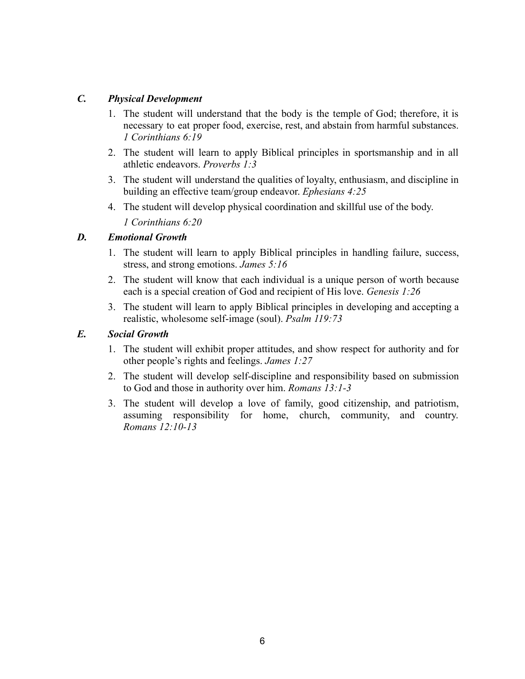#### *C. Physical Development*

- 1. The student will understand that the body is the temple of God; therefore, it is necessary to eat proper food, exercise, rest, and abstain from harmful substances. *1 Corinthians 6:19*
- 2. The student will learn to apply Biblical principles in sportsmanship and in all athletic endeavors. *Proverbs 1:3*
- 3. The student will understand the qualities of loyalty, enthusiasm, and discipline in building an effective team/group endeavor. *Ephesians 4:25*
- 4. The student will develop physical coordination and skillful use of the body. *1 Corinthians 6:20*

#### *D. Emotional Growth*

- 1. The student will learn to apply Biblical principles in handling failure, success, stress, and strong emotions. *James 5:16*
- 2. The student will know that each individual is a unique person of worth because each is a special creation of God and recipient of His love. *Genesis 1:26*
- 3. The student will learn to apply Biblical principles in developing and accepting a realistic, wholesome self-image (soul). *Psalm 119:73*

#### *E. Social Growth*

- 1. The student will exhibit proper attitudes, and show respect for authority and for other people's rights and feelings. *James 1:27*
- 2. The student will develop self-discipline and responsibility based on submission to God and those in authority over him. *Romans 13:1-3*
- 3. The student will develop a love of family, good citizenship, and patriotism, assuming responsibility for home, church, community, and country. *Romans 12:10-13*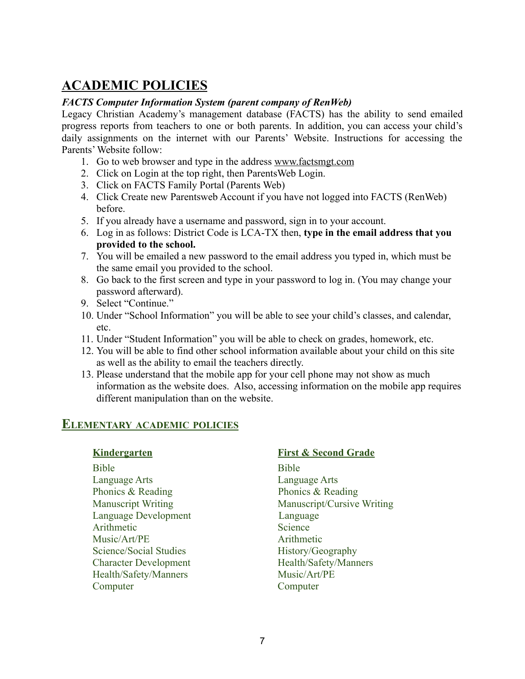## **ACADEMIC POLICIES**

#### *FACTS Computer Information System (parent company of RenWeb)*

Legacy Christian Academy's management database (FACTS) has the ability to send emailed progress reports from teachers to one or both parents. In addition, you can access your child's daily assignments on the internet with our Parents' Website. Instructions for accessing the Parents' Website follow:

- 1. Go to web browser and type in the address [www.](http://www.renweb.com)factsmgt.com
- 2. Click on Login at the top right, then ParentsWeb Login.
- 3. Click on FACTS Family Portal (Parents Web)
- 4. Click Create new Parentsweb Account if you have not logged into FACTS (RenWeb) before.
- 5. If you already have a username and password, sign in to your account.
- 6. Log in as follows: District Code is LCA-TX then, **type in the email address that you provided to the school.**
- 7. You will be emailed a new password to the email address you typed in, which must be the same email you provided to the school.
- 8. Go back to the first screen and type in your password to log in. (You may change your password afterward).
- 9. Select "Continue."
- 10. Under "School Information" you will be able to see your child's classes, and calendar, etc.
- 11. Under "Student Information" you will be able to check on grades, homework, etc.
- 12. You will be able to find other school information available about your child on this site as well as the ability to email the teachers directly.
- 13. Please understand that the mobile app for your cell phone may not show as much information as the website does. Also, accessing information on the mobile app requires different manipulation than on the website.

## **ELEMENTARY ACADEMIC POLICIES**

Bible Bible Language Arts Language Arts Phonics & Reading Phonics & Reading Language Development Language Arithmetic Science Music/Art/PE Arithmetic Science/Social Studies History/Geography Character Development Health/Safety/Manners Health/Safety/Manners Music/Art/PE Computer Computer

#### **Kindergarten First & Second Grade**

Manuscript Writing Manuscript/Cursive Writing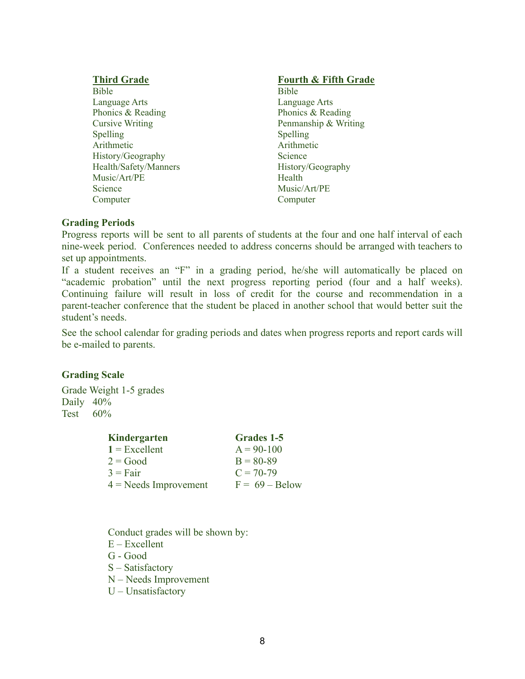Bible Bible Language Arts Language Arts Phonics & Reading Phonics & Reading Spelling Spelling Arithmetic Arithmetic History/Geography Science Health/Safety/Manners History/Geography Music/Art/PE Health Science Music/Art/PE Computer Computer

#### **Fourth & Fifth Grade Fourth & Fifth Grade**

Cursive Writing Penmanship & Writing

#### **Grading Periods**

Progress reports will be sent to all parents of students at the four and one half interval of each nine-week period. Conferences needed to address concerns should be arranged with teachers to set up appointments.

If a student receives an "F" in a grading period, he/she will automatically be placed on "academic probation" until the next progress reporting period (four and a half weeks). Continuing failure will result in loss of credit for the course and recommendation in a parent-teacher conference that the student be placed in another school that would better suit the student's needs.

See the school calendar for grading periods and dates when progress reports and report cards will be e-mailed to parents.

#### **Grading Scale**

Grade Weight 1-5 grades Daily 40% Test  $60\%$ 

| Grades 1-5       |
|------------------|
| $A = 90 - 100$   |
| $B = 80 - 89$    |
| $C = 70-79$      |
| $F = 69 - Below$ |
|                  |

Conduct grades will be shown by: E – Excellent G - Good S – Satisfactory N – Needs Improvement U – Unsatisfactory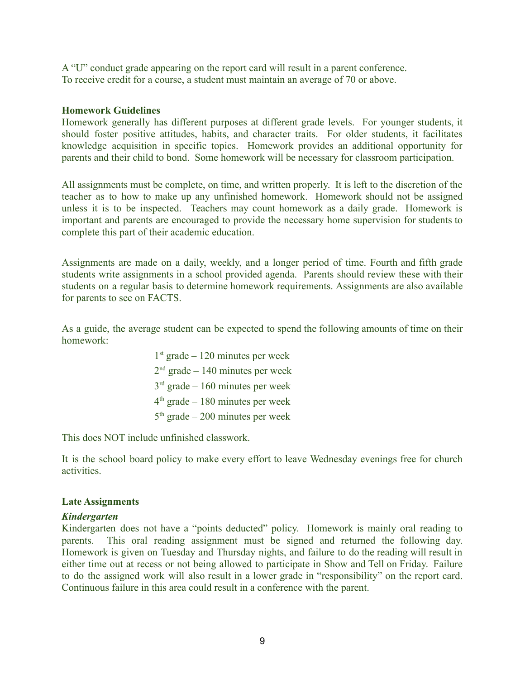A "U" conduct grade appearing on the report card will result in a parent conference. To receive credit for a course, a student must maintain an average of 70 or above.

#### **Homework Guidelines**

Homework generally has different purposes at different grade levels. For younger students, it should foster positive attitudes, habits, and character traits. For older students, it facilitates knowledge acquisition in specific topics. Homework provides an additional opportunity for parents and their child to bond. Some homework will be necessary for classroom participation.

All assignments must be complete, on time, and written properly. It is left to the discretion of the teacher as to how to make up any unfinished homework. Homework should not be assigned unless it is to be inspected. Teachers may count homework as a daily grade. Homework is important and parents are encouraged to provide the necessary home supervision for students to complete this part of their academic education.

Assignments are made on a daily, weekly, and a longer period of time. Fourth and fifth grade students write assignments in a school provided agenda. Parents should review these with their students on a regular basis to determine homework requirements. Assignments are also available for parents to see on FACTS.

As a guide, the average student can be expected to spend the following amounts of time on their homework:

> st grade – 120 minutes per week nd grade – 140 minutes per week rd grade – 160 minutes per week th grade – 180 minutes per week  $5<sup>th</sup>$  grade – 200 minutes per week

This does NOT include unfinished classwork.

It is the school board policy to make every effort to leave Wednesday evenings free for church activities.

#### **Late Assignments**

#### *Kindergarten*

Kindergarten does not have a "points deducted" policy. Homework is mainly oral reading to parents. This oral reading assignment must be signed and returned the following day. Homework is given on Tuesday and Thursday nights, and failure to do the reading will result in either time out at recess or not being allowed to participate in Show and Tell on Friday. Failure to do the assigned work will also result in a lower grade in "responsibility" on the report card. Continuous failure in this area could result in a conference with the parent.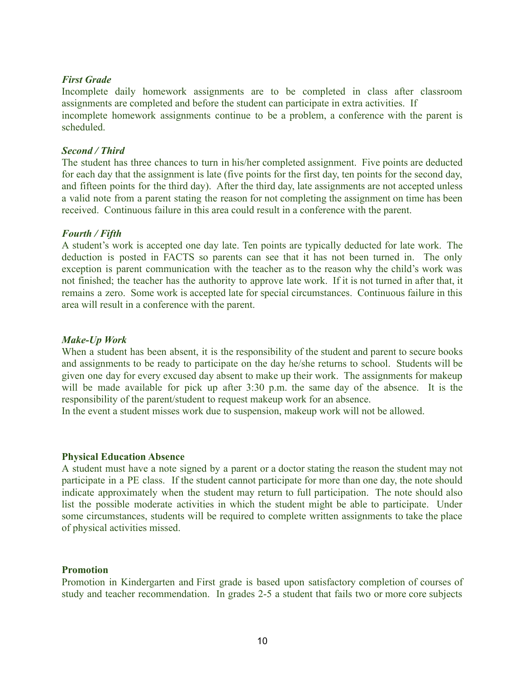#### *First Grade*

Incomplete daily homework assignments are to be completed in class after classroom assignments are completed and before the student can participate in extra activities. If incomplete homework assignments continue to be a problem, a conference with the parent is scheduled.

#### *Second / Third*

The student has three chances to turn in his/her completed assignment. Five points are deducted for each day that the assignment is late (five points for the first day, ten points for the second day, and fifteen points for the third day). After the third day, late assignments are not accepted unless a valid note from a parent stating the reason for not completing the assignment on time has been received. Continuous failure in this area could result in a conference with the parent.

#### *Fourth / Fifth*

A student's work is accepted one day late. Ten points are typically deducted for late work. The deduction is posted in FACTS so parents can see that it has not been turned in. The only exception is parent communication with the teacher as to the reason why the child's work was not finished; the teacher has the authority to approve late work. If it is not turned in after that, it remains a zero. Some work is accepted late for special circumstances. Continuous failure in this area will result in a conference with the parent.

#### *Make-Up Work*

When a student has been absent, it is the responsibility of the student and parent to secure books and assignments to be ready to participate on the day he/she returns to school. Students will be given one day for every excused day absent to make up their work. The assignments for makeup will be made available for pick up after 3:30 p.m. the same day of the absence. It is the responsibility of the parent/student to request makeup work for an absence.

In the event a student misses work due to suspension, makeup work will not be allowed.

#### **Physical Education Absence**

A student must have a note signed by a parent or a doctor stating the reason the student may not participate in a PE class. If the student cannot participate for more than one day, the note should indicate approximately when the student may return to full participation. The note should also list the possible moderate activities in which the student might be able to participate. Under some circumstances, students will be required to complete written assignments to take the place of physical activities missed.

#### **Promotion**

Promotion in Kindergarten and First grade is based upon satisfactory completion of courses of study and teacher recommendation. In grades 2-5 a student that fails two or more core subjects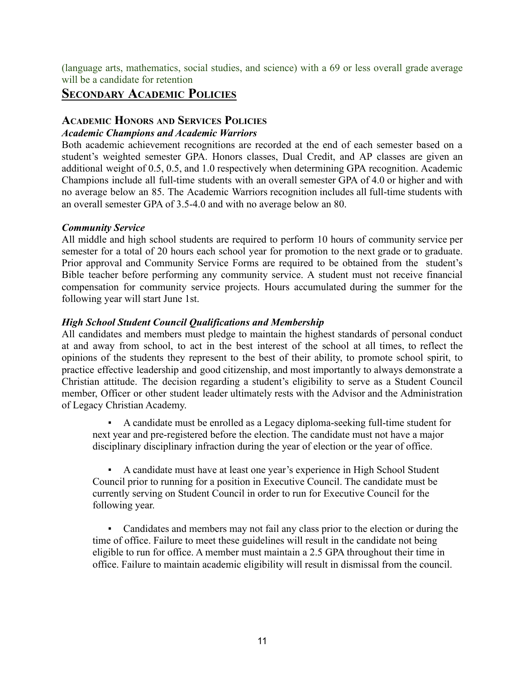(language arts, mathematics, social studies, and science) with a 69 or less overall grade average will be a candidate for retention

## **SECONDARY ACADEMIC POLICIES**

#### **ACADEMIC HONORS AND SERVICES POLICIES**

#### *Academic Champions and Academic Warriors*

Both academic achievement recognitions are recorded at the end of each semester based on a student's weighted semester GPA. Honors classes, Dual Credit, and AP classes are given an additional weight of 0.5, 0.5, and 1.0 respectively when determining GPA recognition. Academic Champions include all full-time students with an overall semester GPA of 4.0 or higher and with no average below an 85. The Academic Warriors recognition includes all full-time students with an overall semester GPA of 3.5-4.0 and with no average below an 80.

#### *Community Service*

All middle and high school students are required to perform 10 hours of community service per semester for a total of 20 hours each school year for promotion to the next grade or to graduate. Prior approval and Community Service Forms are required to be obtained from the student's Bible teacher before performing any community service. A student must not receive financial compensation for community service projects. Hours accumulated during the summer for the following year will start June 1st.

#### *High School Student Council Qualifications and Membership*

All candidates and members must pledge to maintain the highest standards of personal conduct at and away from school, to act in the best interest of the school at all times, to reflect the opinions of the students they represent to the best of their ability, to promote school spirit, to practice effective leadership and good citizenship, and most importantly to always demonstrate a Christian attitude. The decision regarding a student's eligibility to serve as a Student Council member, Officer or other student leader ultimately rests with the Advisor and the Administration of Legacy Christian Academy.

A candidate must be enrolled as a Legacy diploma-seeking full-time student for next year and pre-registered before the election. The candidate must not have a major disciplinary disciplinary infraction during the year of election or the year of office.

▪ A candidate must have at least one year's experience in High School Student Council prior to running for a position in Executive Council. The candidate must be currently serving on Student Council in order to run for Executive Council for the following year.

▪ Candidates and members may not fail any class prior to the election or during the time of office. Failure to meet these guidelines will result in the candidate not being eligible to run for office. A member must maintain a 2.5 GPA throughout their time in office. Failure to maintain academic eligibility will result in dismissal from the council.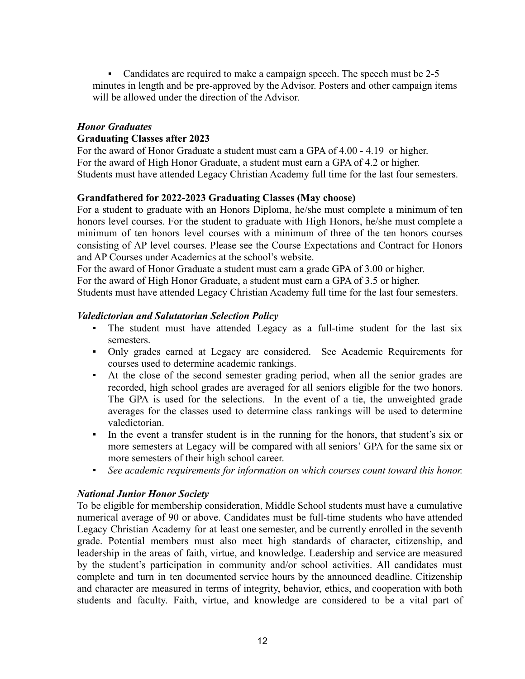• Candidates are required to make a campaign speech. The speech must be 2-5 minutes in length and be pre-approved by the Advisor. Posters and other campaign items will be allowed under the direction of the Advisor

#### *Honor Graduates* **Graduating Classes after 2023**

For the award of Honor Graduate a student must earn a GPA of 4.00 - 4.19 or higher. For the award of High Honor Graduate, a student must earn a GPA of 4.2 or higher. Students must have attended Legacy Christian Academy full time for the last four semesters.

#### **Grandfathered for 2022-2023 Graduating Classes (May choose)**

For a student to graduate with an Honors Diploma, he/she must complete a minimum of ten honors level courses. For the student to graduate with High Honors, he/she must complete a minimum of ten honors level courses with a minimum of three of the ten honors courses consisting of AP level courses. Please see the Course Expectations and Contract for Honors and AP Courses under Academics at the school's website.

For the award of Honor Graduate a student must earn a grade GPA of 3.00 or higher.

For the award of High Honor Graduate, a student must earn a GPA of 3.5 or higher.

Students must have attended Legacy Christian Academy full time for the last four semesters.

#### *Valedictorian and Salutatorian Selection Policy*

- The student must have attended Legacy as a full-time student for the last six semesters.
- Only grades earned at Legacy are considered. See Academic Requirements for courses used to determine academic rankings.
- At the close of the second semester grading period, when all the senior grades are recorded, high school grades are averaged for all seniors eligible for the two honors. The GPA is used for the selections. In the event of a tie, the unweighted grade averages for the classes used to determine class rankings will be used to determine valedictorian.
- In the event a transfer student is in the running for the honors, that student's six or more semesters at Legacy will be compared with all seniors' GPA for the same six or more semesters of their high school career.
- *▪ See academic requirements for information on which courses count toward this honor.*

#### *National Junior Honor Society*

To be eligible for membership consideration, Middle School students must have a cumulative numerical average of 90 or above. Candidates must be full-time students who have attended Legacy Christian Academy for at least one semester, and be currently enrolled in the seventh grade. Potential members must also meet high standards of character, citizenship, and leadership in the areas of faith, virtue, and knowledge. Leadership and service are measured by the student's participation in community and/or school activities. All candidates must complete and turn in ten documented service hours by the announced deadline. Citizenship and character are measured in terms of integrity, behavior, ethics, and cooperation with both students and faculty. Faith, virtue, and knowledge are considered to be a vital part of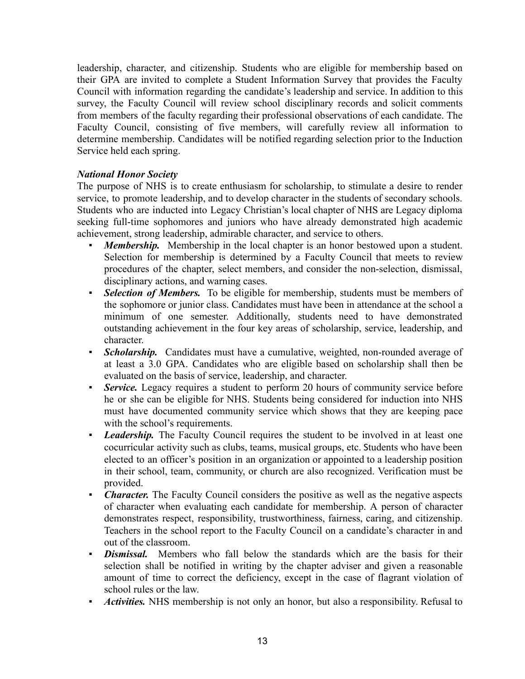leadership, character, and citizenship. Students who are eligible for membership based on their GPA are invited to complete a Student Information Survey that provides the Faculty Council with information regarding the candidate's leadership and service. In addition to this survey, the Faculty Council will review school disciplinary records and solicit comments from members of the faculty regarding their professional observations of each candidate. The Faculty Council, consisting of five members, will carefully review all information to determine membership. Candidates will be notified regarding selection prior to the Induction Service held each spring.

#### *National Honor Society*

The purpose of NHS is to create enthusiasm for scholarship, to stimulate a desire to render service, to promote leadership, and to develop character in the students of secondary schools. Students who are inducted into Legacy Christian's local chapter of NHS are Legacy diploma seeking full-time sophomores and juniors who have already demonstrated high academic achievement, strong leadership, admirable character, and service to others.

- *Membership.* Membership in the local chapter is an honor bestowed upon a student. Selection for membership is determined by a Faculty Council that meets to review procedures of the chapter, select members, and consider the non-selection, dismissal, disciplinary actions, and warning cases.
- *Selection of Members.* To be eligible for membership, students must be members of the sophomore or junior class. Candidates must have been in attendance at the school a minimum of one semester. Additionally, students need to have demonstrated outstanding achievement in the four key areas of scholarship, service, leadership, and character.
- **Scholarship.** Candidates must have a cumulative, weighted, non-rounded average of at least a 3.0 GPA. Candidates who are eligible based on scholarship shall then be evaluated on the basis of service, leadership, and character.
- *Service*. Legacy requires a student to perform 20 hours of community service before he or she can be eligible for NHS. Students being considered for induction into NHS must have documented community service which shows that they are keeping pace with the school's requirements.
- **Leadership.** The Faculty Council requires the student to be involved in at least one cocurricular activity such as clubs, teams, musical groups, etc. Students who have been elected to an officer's position in an organization or appointed to a leadership position in their school, team, community, or church are also recognized. Verification must be provided.
- *Character.* The Faculty Council considers the positive as well as the negative aspects of character when evaluating each candidate for membership. A person of character demonstrates respect, responsibility, trustworthiness, fairness, caring, and citizenship. Teachers in the school report to the Faculty Council on a candidate's character in and out of the classroom.
- **Dismissal.** Members who fall below the standards which are the basis for their selection shall be notified in writing by the chapter adviser and given a reasonable amount of time to correct the deficiency, except in the case of flagrant violation of school rules or the law.
- *Activities.* NHS membership is not only an honor, but also a responsibility. Refusal to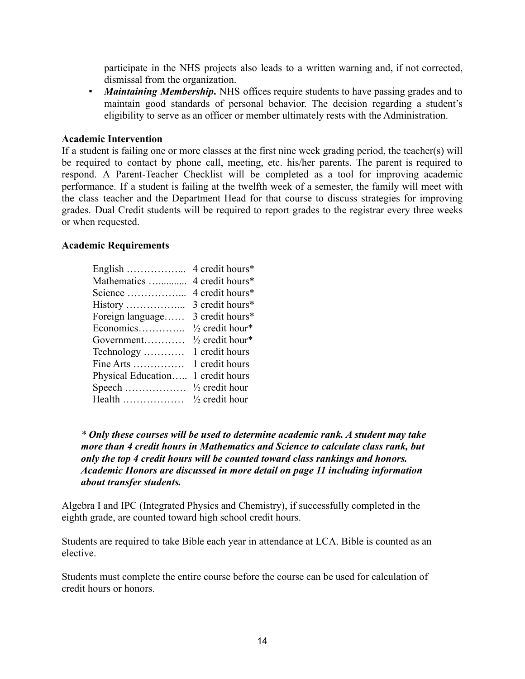participate in the NHS projects also leads to a written warning and, if not corrected, dismissal from the organization.

▪ *Maintaining Membership***.** NHS offices require students to have passing grades and to maintain good standards of personal behavior. The decision regarding a student's eligibility to serve as an officer or member ultimately rests with the Administration.

#### **Academic Intervention**

If a student is failing one or more classes at the first nine week grading period, the teacher(s) will be required to contact by phone call, meeting, etc. his/her parents. The parent is required to respond. A Parent-Teacher Checklist will be completed as a tool for improving academic performance. If a student is failing at the twelfth week of a semester, the family will meet with the class teacher and the Department Head for that course to discuss strategies for improving grades. Dual Credit students will be required to report grades to the registrar every three weeks or when requested.

#### **Academic Requirements**

| English            | 4 credit hours*            |
|--------------------|----------------------------|
| Mathematics        | 4 credit hours*            |
| Science            | 4 credit hours*            |
| History            | 3 credit hours*            |
| Foreign language   | 3 credit hours*            |
| Economics          | $\frac{1}{2}$ credit hour* |
| Government         | $\frac{1}{2}$ credit hour* |
| Technology         | 1 credit hours             |
| Fine Arts          | 1 credit hours             |
| Physical Education | 1 credit hours             |
| Speech             | $\frac{1}{2}$ credit hour  |
| Health             | $\frac{1}{2}$ credit hour  |

*\* Only these courses will be used to determine academic rank. A student may take more than 4 credit hours in Mathematics and Science to calculate class rank, but only the top 4 credit hours will be counted toward class rankings and honors. Academic Honors are discussed in more detail on page 11 including information about transfer students.*

Algebra I and IPC (Integrated Physics and Chemistry), if successfully completed in the eighth grade, are counted toward high school credit hours.

Students are required to take Bible each year in attendance at LCA. Bible is counted as an elective.

Students must complete the entire course before the course can be used for calculation of credit hours or honors.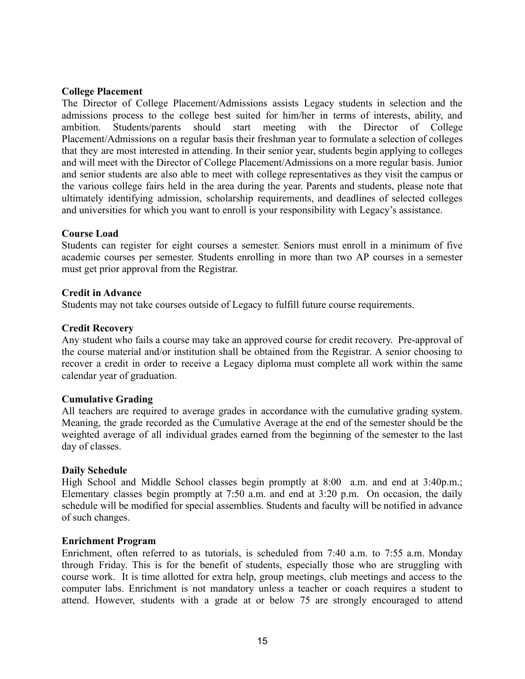#### **College Placement**

The Director of College Placement/Admissions assists Legacy students in selection and the admissions process to the college best suited for him/her in terms of interests, ability, and ambition. Students/parents should start meeting with the Director of College Placement/Admissions on a regular basis their freshman year to formulate a selection of colleges that they are most interested in attending. In their senior year, students begin applying to colleges and will meet with the Director of College Placement/Admissions on a more regular basis. Junior and senior students are also able to meet with college representatives as they visit the campus or the various college fairs held in the area during the year. Parents and students, please note that ultimately identifying admission, scholarship requirements, and deadlines of selected colleges and universities for which you want to enroll is your responsibility with Legacy's assistance.

#### **Course Load**

Students can register for eight courses a semester. Seniors must enroll in a minimum of five academic courses per semester. Students enrolling in more than two AP courses in a semester must get prior approval from the Registrar.

#### **Credit in Advance**

Students may not take courses outside of Legacy to fulfill future course requirements.

#### **Credit Recovery**

Any student who fails a course may take an approved course for credit recovery. Pre-approval of the course material and/or institution shall be obtained from the Registrar. A senior choosing to recover a credit in order to receive a Legacy diploma must complete all work within the same calendar year of graduation.

#### **Cumulative Grading**

All teachers are required to average grades in accordance with the cumulative grading system. Meaning, the grade recorded as the Cumulative Average at the end of the semester should be the weighted average of all individual grades earned from the beginning of the semester to the last day of classes.

#### **Daily Schedule**

High School and Middle School classes begin promptly at 8:00 a.m. and end at 3:40p.m.; Elementary classes begin promptly at 7:50 a.m. and end at 3:20 p.m. On occasion, the daily schedule will be modified for special assemblies. Students and faculty will be notified in advance of such changes.

#### **Enrichment Program**

Enrichment, often referred to as tutorials, is scheduled from 7:40 a.m. to 7:55 a.m. Monday through Friday. This is for the benefit of students, especially those who are struggling with course work. It is time allotted for extra help, group meetings, club meetings and access to the computer labs. Enrichment is not mandatory unless a teacher or coach requires a student to attend. However, students with a grade at or below 75 are strongly encouraged to attend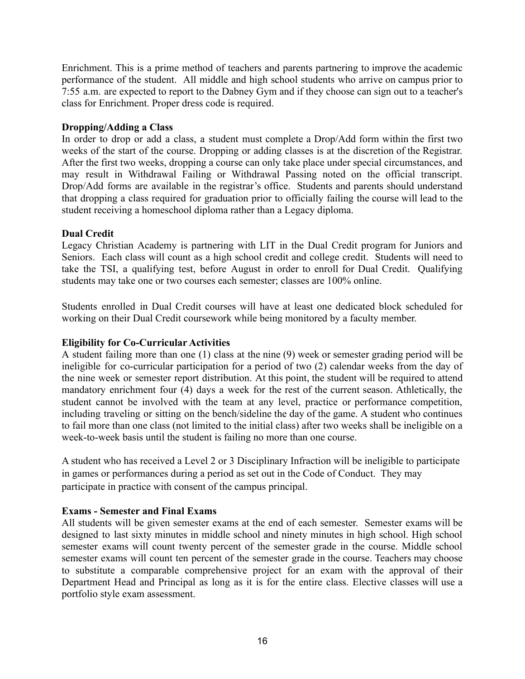Enrichment. This is a prime method of teachers and parents partnering to improve the academic performance of the student. All middle and high school students who arrive on campus prior to 7:55 a.m. are expected to report to the Dabney Gym and if they choose can sign out to a teacher's class for Enrichment. Proper dress code is required.

#### **Dropping/Adding a Class**

In order to drop or add a class, a student must complete a Drop/Add form within the first two weeks of the start of the course. Dropping or adding classes is at the discretion of the Registrar. After the first two weeks, dropping a course can only take place under special circumstances, and may result in Withdrawal Failing or Withdrawal Passing noted on the official transcript. Drop/Add forms are available in the registrar's office. Students and parents should understand that dropping a class required for graduation prior to officially failing the course will lead to the student receiving a homeschool diploma rather than a Legacy diploma.

#### **Dual Credit**

Legacy Christian Academy is partnering with LIT in the Dual Credit program for Juniors and Seniors. Each class will count as a high school credit and college credit. Students will need to take the TSI, a qualifying test, before August in order to enroll for Dual Credit. Qualifying students may take one or two courses each semester; classes are 100% online.

Students enrolled in Dual Credit courses will have at least one dedicated block scheduled for working on their Dual Credit coursework while being monitored by a faculty member.

#### **Eligibility for Co-Curricular Activities**

A student failing more than one (1) class at the nine (9) week or semester grading period will be ineligible for co-curricular participation for a period of two (2) calendar weeks from the day of the nine week or semester report distribution. At this point, the student will be required to attend mandatory enrichment four (4) days a week for the rest of the current season. Athletically, the student cannot be involved with the team at any level, practice or performance competition, including traveling or sitting on the bench/sideline the day of the game. A student who continues to fail more than one class (not limited to the initial class) after two weeks shall be ineligible on a week-to-week basis until the student is failing no more than one course.

A student who has received a Level 2 or 3 Disciplinary Infraction will be ineligible to participate in games or performances during a period as set out in the Code of Conduct. They may participate in practice with consent of the campus principal.

#### **Exams - Semester and Final Exams**

All students will be given semester exams at the end of each semester. Semester exams will be designed to last sixty minutes in middle school and ninety minutes in high school. High school semester exams will count twenty percent of the semester grade in the course. Middle school semester exams will count ten percent of the semester grade in the course. Teachers may choose to substitute a comparable comprehensive project for an exam with the approval of their Department Head and Principal as long as it is for the entire class. Elective classes will use a portfolio style exam assessment.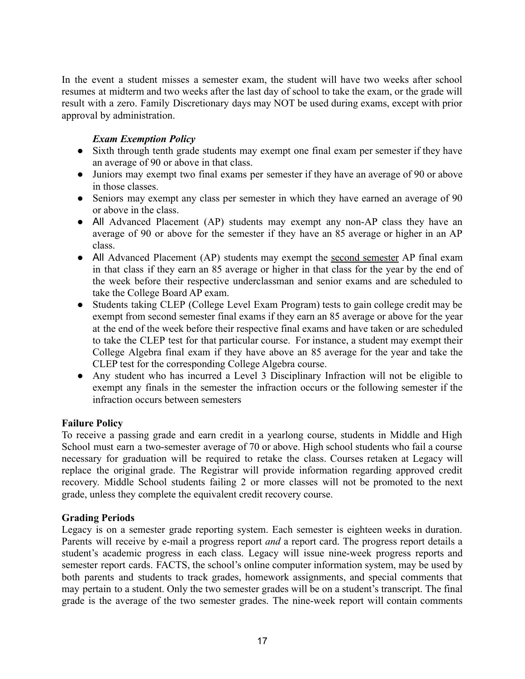In the event a student misses a semester exam, the student will have two weeks after school resumes at midterm and two weeks after the last day of school to take the exam, or the grade will result with a zero. Family Discretionary days may NOT be used during exams, except with prior approval by administration.

#### *Exam Exemption Policy*

- Sixth through tenth grade students may exempt one final exam per semester if they have an average of 90 or above in that class.
- Juniors may exempt two final exams per semester if they have an average of 90 or above in those classes.
- Seniors may exempt any class per semester in which they have earned an average of 90 or above in the class.
- All Advanced Placement (AP) students may exempt any non-AP class they have an average of 90 or above for the semester if they have an 85 average or higher in an AP class.
- All Advanced Placement (AP) students may exempt the second semester AP final exam in that class if they earn an 85 average or higher in that class for the year by the end of the week before their respective underclassman and senior exams and are scheduled to take the College Board AP exam.
- Students taking CLEP (College Level Exam Program) tests to gain college credit may be exempt from second semester final exams if they earn an 85 average or above for the year at the end of the week before their respective final exams and have taken or are scheduled to take the CLEP test for that particular course. For instance, a student may exempt their College Algebra final exam if they have above an 85 average for the year and take the CLEP test for the corresponding College Algebra course.
- Any student who has incurred a Level 3 Disciplinary Infraction will not be eligible to exempt any finals in the semester the infraction occurs or the following semester if the infraction occurs between semesters

#### **Failure Policy**

To receive a passing grade and earn credit in a yearlong course, students in Middle and High School must earn a two-semester average of 70 or above. High school students who fail a course necessary for graduation will be required to retake the class. Courses retaken at Legacy will replace the original grade. The Registrar will provide information regarding approved credit recovery. Middle School students failing 2 or more classes will not be promoted to the next grade, unless they complete the equivalent credit recovery course.

#### **Grading Periods**

Legacy is on a semester grade reporting system. Each semester is eighteen weeks in duration. Parents will receive by e-mail a progress report *and* a report card. The progress report details a student's academic progress in each class. Legacy will issue nine-week progress reports and semester report cards. FACTS, the school's online computer information system, may be used by both parents and students to track grades, homework assignments, and special comments that may pertain to a student. Only the two semester grades will be on a student's transcript. The final grade is the average of the two semester grades. The nine-week report will contain comments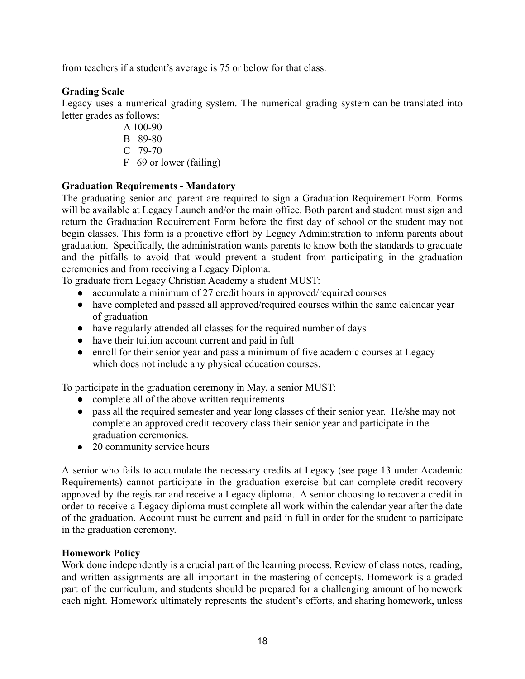from teachers if a student's average is 75 or below for that class.

#### **Grading Scale**

Legacy uses a numerical grading system. The numerical grading system can be translated into letter grades as follows:

- A 100-90
- B 89-80
- C 79-70
- F 69 or lower (failing)

## **Graduation Requirements - Mandatory**

The graduating senior and parent are required to sign a Graduation Requirement Form. Forms will be available at Legacy Launch and/or the main office. Both parent and student must sign and return the Graduation Requirement Form before the first day of school or the student may not begin classes. This form is a proactive effort by Legacy Administration to inform parents about graduation. Specifically, the administration wants parents to know both the standards to graduate and the pitfalls to avoid that would prevent a student from participating in the graduation ceremonies and from receiving a Legacy Diploma.

To graduate from Legacy Christian Academy a student MUST:

- accumulate a minimum of 27 credit hours in approved/required courses
- have completed and passed all approved/required courses within the same calendar year of graduation
- have regularly attended all classes for the required number of days
- have their tuition account current and paid in full
- enroll for their senior year and pass a minimum of five academic courses at Legacy which does not include any physical education courses.

To participate in the graduation ceremony in May, a senior MUST:

- complete all of the above written requirements
- pass all the required semester and year long classes of their senior year. He/she may not complete an approved credit recovery class their senior year and participate in the graduation ceremonies.
- 20 community service hours

A senior who fails to accumulate the necessary credits at Legacy (see page 13 under Academic Requirements) cannot participate in the graduation exercise but can complete credit recovery approved by the registrar and receive a Legacy diploma. A senior choosing to recover a credit in order to receive a Legacy diploma must complete all work within the calendar year after the date of the graduation. Account must be current and paid in full in order for the student to participate in the graduation ceremony.

#### **Homework Policy**

Work done independently is a crucial part of the learning process. Review of class notes, reading, and written assignments are all important in the mastering of concepts. Homework is a graded part of the curriculum, and students should be prepared for a challenging amount of homework each night. Homework ultimately represents the student's efforts, and sharing homework, unless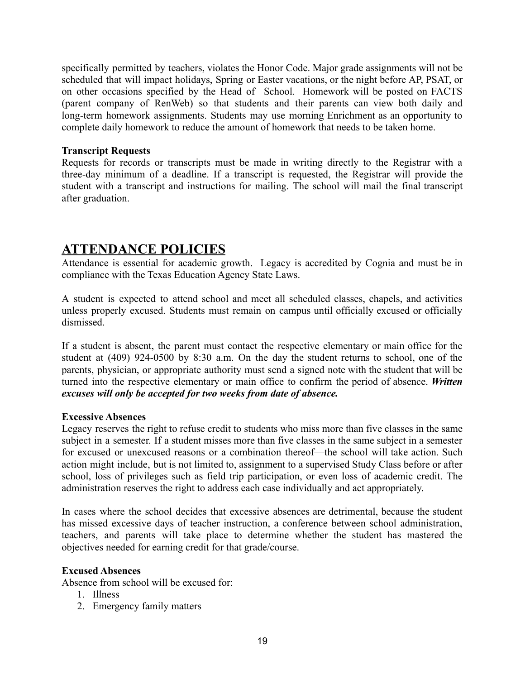specifically permitted by teachers, violates the Honor Code. Major grade assignments will not be scheduled that will impact holidays, Spring or Easter vacations, or the night before AP, PSAT, or on other occasions specified by the Head of School. Homework will be posted on FACTS (parent company of RenWeb) so that students and their parents can view both daily and long-term homework assignments. Students may use morning Enrichment as an opportunity to complete daily homework to reduce the amount of homework that needs to be taken home.

#### **Transcript Requests**

Requests for records or transcripts must be made in writing directly to the Registrar with a three-day minimum of a deadline. If a transcript is requested, the Registrar will provide the student with a transcript and instructions for mailing. The school will mail the final transcript after graduation.

## **ATTENDANCE POLICIES**

Attendance is essential for academic growth. Legacy is accredited by Cognia and must be in compliance with the Texas Education Agency State Laws.

A student is expected to attend school and meet all scheduled classes, chapels, and activities unless properly excused. Students must remain on campus until officially excused or officially dismissed.

If a student is absent, the parent must contact the respective elementary or main office for the student at (409) 924-0500 by 8:30 a.m. On the day the student returns to school, one of the parents, physician, or appropriate authority must send a signed note with the student that will be turned into the respective elementary or main office to confirm the period of absence. *Written excuses will only be accepted for two weeks from date of absence.*

#### **Excessive Absences**

Legacy reserves the right to refuse credit to students who miss more than five classes in the same subject in a semester. If a student misses more than five classes in the same subject in a semester for excused or unexcused reasons or a combination thereof—the school will take action. Such action might include, but is not limited to, assignment to a supervised Study Class before or after school, loss of privileges such as field trip participation, or even loss of academic credit. The administration reserves the right to address each case individually and act appropriately.

In cases where the school decides that excessive absences are detrimental, because the student has missed excessive days of teacher instruction, a conference between school administration, teachers, and parents will take place to determine whether the student has mastered the objectives needed for earning credit for that grade/course.

#### **Excused Absences**

Absence from school will be excused for:

- 1. Illness
- 2. Emergency family matters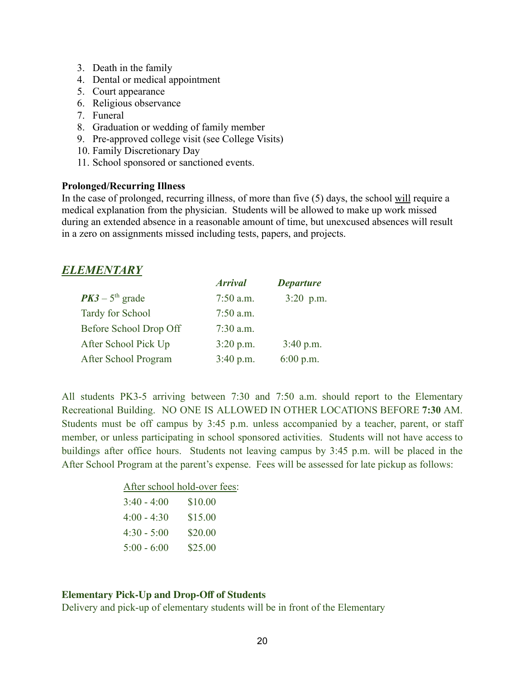- 3. Death in the family
- 4. Dental or medical appointment
- 5. Court appearance
- 6. Religious observance
- 7. Funeral
- 8. Graduation or wedding of family member
- 9. Pre-approved college visit (see College Visits)
- 10. Family Discretionary Day
- 11. School sponsored or sanctioned events.

#### **Prolonged/Recurring Illness**

In the case of prolonged, recurring illness, of more than five (5) days, the school will require a medical explanation from the physician. Students will be allowed to make up work missed during an extended absence in a reasonable amount of time, but unexcused absences will result in a zero on assignments missed including tests, papers, and projects.

## *ELEMENTARY*

|                         | <b>Arrival</b> | <b>Departure</b> |
|-------------------------|----------------|------------------|
| $PK3 - 5th$ grade       | $7:50$ a.m.    | $3:20$ p.m.      |
| <b>Tardy for School</b> | $7:50$ a.m.    |                  |
| Before School Drop Off  | $7:30$ a.m.    |                  |
| After School Pick Up    | 3:20 p.m.      | 3:40 p.m.        |
| After School Program    | 3:40 p.m.      | 6:00 p.m.        |

All students PK3-5 arriving between 7:30 and 7:50 a.m. should report to the Elementary Recreational Building. NO ONE IS ALLOWED IN OTHER LOCATIONS BEFORE **7:30** AM. Students must be off campus by 3:45 p.m. unless accompanied by a teacher, parent, or staff member, or unless participating in school sponsored activities. Students will not have access to buildings after office hours. Students not leaving campus by 3:45 p.m. will be placed in the After School Program at the parent's expense. Fees will be assessed for late pickup as follows:

| After school hold-over fees: |
|------------------------------|
| \$10.00                      |
| \$15.00                      |
| \$20.00                      |
| \$25.00                      |
|                              |

#### **Elementary Pick-Up and Drop-Off of Students**

Delivery and pick-up of elementary students will be in front of the Elementary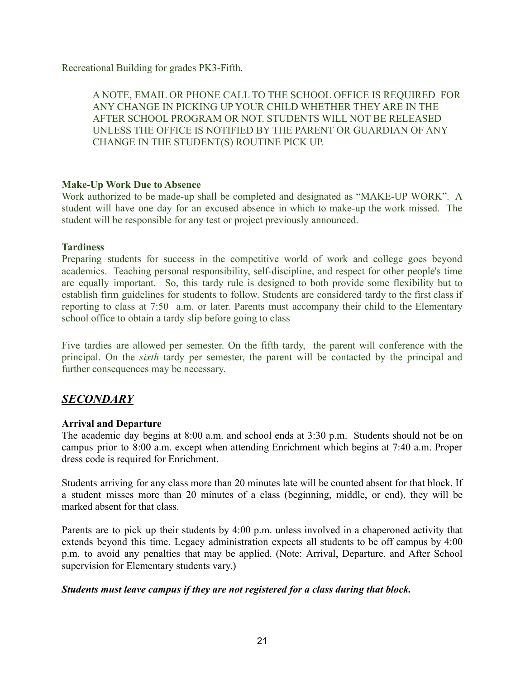Recreational Building for grades PK3-Fifth.

A NOTE, EMAIL OR PHONE CALL TO THE SCHOOL OFFICE IS REQUIRED FOR ANY CHANGE IN PICKING UP YOUR CHILD WHETHER THEY ARE IN THE AFTER SCHOOL PROGRAM OR NOT. STUDENTS WILL NOT BE RELEASED UNLESS THE OFFICE IS NOTIFIED BY THE PARENT OR GUARDIAN OF ANY CHANGE IN THE STUDENT(S) ROUTINE PICK UP.

#### **Make-Up Work Due to Absence**

Work authorized to be made-up shall be completed and designated as "MAKE-UP WORK". A student will have one day for an excused absence in which to make-up the work missed. The student will be responsible for any test or project previously announced.

#### **Tardiness**

Preparing students for success in the competitive world of work and college goes beyond academics. Teaching personal responsibility, self-discipline, and respect for other people's time are equally important. So, this tardy rule is designed to both provide some flexibility but to establish firm guidelines for students to follow. Students are considered tardy to the first class if reporting to class at 7:50 a.m. or later. Parents must accompany their child to the Elementary school office to obtain a tardy slip before going to class

Five tardies are allowed per semester. On the fifth tardy, the parent will conference with the principal. On the *sixth* tardy per semester, the parent will be contacted by the principal and further consequences may be necessary.

## *SECONDARY*

#### **Arrival and Departure**

The academic day begins at 8:00 a.m. and school ends at 3:30 p.m. Students should not be on campus prior to 8:00 a.m. except when attending Enrichment which begins at 7:40 a.m. Proper dress code is required for Enrichment.

Students arriving for any class more than 20 minutes late will be counted absent for that block. If a student misses more than 20 minutes of a class (beginning, middle, or end), they will be marked absent for that class.

Parents are to pick up their students by 4:00 p.m. unless involved in a chaperoned activity that extends beyond this time. Legacy administration expects all students to be off campus by 4:00 p.m. to avoid any penalties that may be applied. (Note: Arrival, Departure, and After School supervision for Elementary students vary.)

#### *Students must leave campus if they are not registered for a class during that block.*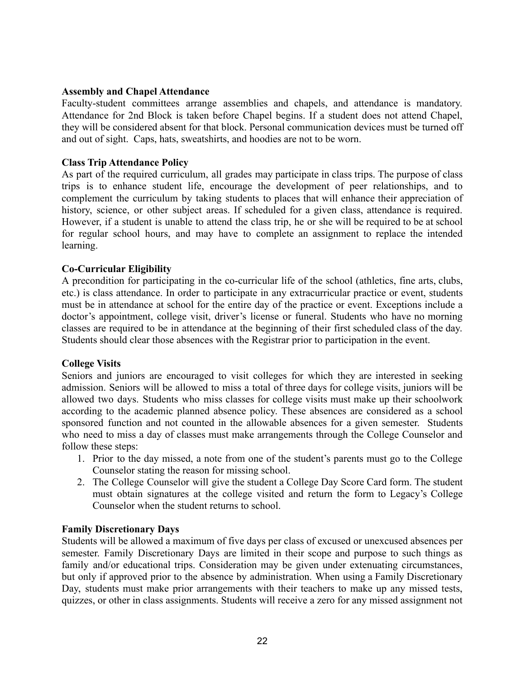#### **Assembly and Chapel Attendance**

Faculty-student committees arrange assemblies and chapels, and attendance is mandatory. Attendance for 2nd Block is taken before Chapel begins. If a student does not attend Chapel, they will be considered absent for that block. Personal communication devices must be turned off and out of sight. Caps, hats, sweatshirts, and hoodies are not to be worn.

#### **Class Trip Attendance Policy**

As part of the required curriculum, all grades may participate in class trips. The purpose of class trips is to enhance student life, encourage the development of peer relationships, and to complement the curriculum by taking students to places that will enhance their appreciation of history, science, or other subject areas. If scheduled for a given class, attendance is required. However, if a student is unable to attend the class trip, he or she will be required to be at school for regular school hours, and may have to complete an assignment to replace the intended learning.

#### **Co-Curricular Eligibility**

A precondition for participating in the co-curricular life of the school (athletics, fine arts, clubs, etc.) is class attendance. In order to participate in any extracurricular practice or event, students must be in attendance at school for the entire day of the practice or event. Exceptions include a doctor's appointment, college visit, driver's license or funeral. Students who have no morning classes are required to be in attendance at the beginning of their first scheduled class of the day. Students should clear those absences with the Registrar prior to participation in the event.

#### **College Visits**

Seniors and juniors are encouraged to visit colleges for which they are interested in seeking admission. Seniors will be allowed to miss a total of three days for college visits, juniors will be allowed two days. Students who miss classes for college visits must make up their schoolwork according to the academic planned absence policy. These absences are considered as a school sponsored function and not counted in the allowable absences for a given semester. Students who need to miss a day of classes must make arrangements through the College Counselor and follow these steps:

- 1. Prior to the day missed, a note from one of the student's parents must go to the College Counselor stating the reason for missing school.
- 2. The College Counselor will give the student a College Day Score Card form. The student must obtain signatures at the college visited and return the form to Legacy's College Counselor when the student returns to school.

#### **Family Discretionary Days**

Students will be allowed a maximum of five days per class of excused or unexcused absences per semester. Family Discretionary Days are limited in their scope and purpose to such things as family and/or educational trips. Consideration may be given under extenuating circumstances, but only if approved prior to the absence by administration. When using a Family Discretionary Day, students must make prior arrangements with their teachers to make up any missed tests, quizzes, or other in class assignments. Students will receive a zero for any missed assignment not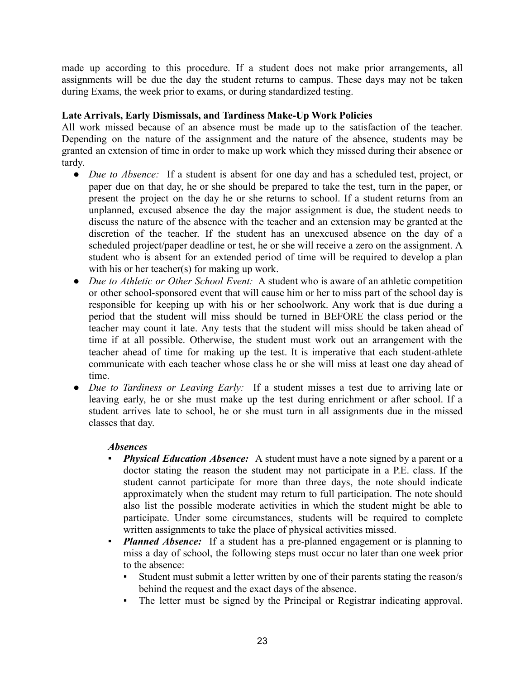made up according to this procedure. If a student does not make prior arrangements, all assignments will be due the day the student returns to campus. These days may not be taken during Exams, the week prior to exams, or during standardized testing.

#### **Late Arrivals, Early Dismissals, and Tardiness Make-Up Work Policies**

All work missed because of an absence must be made up to the satisfaction of the teacher. Depending on the nature of the assignment and the nature of the absence, students may be granted an extension of time in order to make up work which they missed during their absence or tardy.

- *Due to Absence:* If a student is absent for one day and has a scheduled test, project, or paper due on that day, he or she should be prepared to take the test, turn in the paper, or present the project on the day he or she returns to school. If a student returns from an unplanned, excused absence the day the major assignment is due, the student needs to discuss the nature of the absence with the teacher and an extension may be granted at the discretion of the teacher. If the student has an unexcused absence on the day of a scheduled project/paper deadline or test, he or she will receive a zero on the assignment. A student who is absent for an extended period of time will be required to develop a plan with his or her teacher(s) for making up work.
- *Due to Athletic or Other School Event:* A student who is aware of an athletic competition or other school-sponsored event that will cause him or her to miss part of the school day is responsible for keeping up with his or her schoolwork. Any work that is due during a period that the student will miss should be turned in BEFORE the class period or the teacher may count it late. Any tests that the student will miss should be taken ahead of time if at all possible. Otherwise, the student must work out an arrangement with the teacher ahead of time for making up the test. It is imperative that each student-athlete communicate with each teacher whose class he or she will miss at least one day ahead of time.
- *Due to Tardiness or Leaving Early:* If a student misses a test due to arriving late or leaving early, he or she must make up the test during enrichment or after school. If a student arrives late to school, he or she must turn in all assignments due in the missed classes that day.

#### *Absences*

- *Physical Education Absence:* A student must have a note signed by a parent or a doctor stating the reason the student may not participate in a P.E. class. If the student cannot participate for more than three days, the note should indicate approximately when the student may return to full participation. The note should also list the possible moderate activities in which the student might be able to participate. Under some circumstances, students will be required to complete written assignments to take the place of physical activities missed.
- *Planned Absence:* If a student has a pre-planned engagement or is planning to miss a day of school, the following steps must occur no later than one week prior to the absence:
	- Student must submit a letter written by one of their parents stating the reason/s behind the request and the exact days of the absence.
	- The letter must be signed by the Principal or Registrar indicating approval.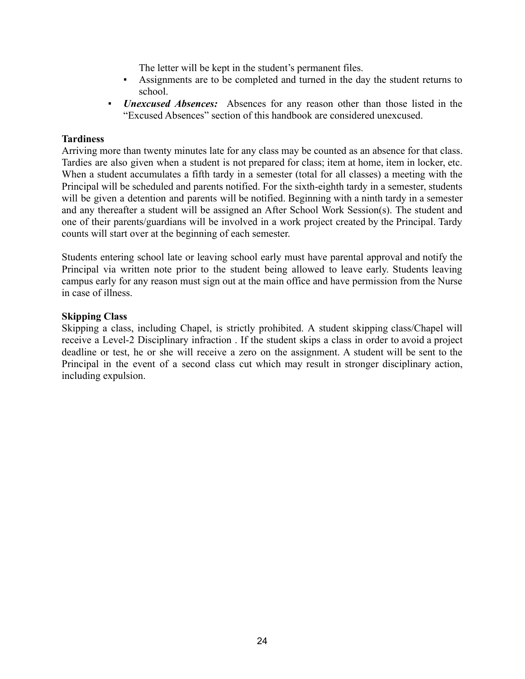The letter will be kept in the student's permanent files.

- Assignments are to be completed and turned in the day the student returns to school.
- *Unexcused Absences:* Absences for any reason other than those listed in the "Excused Absences" section of this handbook are considered unexcused.

#### **Tardiness**

Arriving more than twenty minutes late for any class may be counted as an absence for that class. Tardies are also given when a student is not prepared for class; item at home, item in locker, etc. When a student accumulates a fifth tardy in a semester (total for all classes) a meeting with the Principal will be scheduled and parents notified. For the sixth-eighth tardy in a semester, students will be given a detention and parents will be notified. Beginning with a ninth tardy in a semester and any thereafter a student will be assigned an After School Work Session(s). The student and one of their parents/guardians will be involved in a work project created by the Principal. Tardy counts will start over at the beginning of each semester.

Students entering school late or leaving school early must have parental approval and notify the Principal via written note prior to the student being allowed to leave early. Students leaving campus early for any reason must sign out at the main office and have permission from the Nurse in case of illness.

#### **Skipping Class**

Skipping a class, including Chapel, is strictly prohibited. A student skipping class/Chapel will receive a Level-2 Disciplinary infraction . If the student skips a class in order to avoid a project deadline or test, he or she will receive a zero on the assignment. A student will be sent to the Principal in the event of a second class cut which may result in stronger disciplinary action, including expulsion.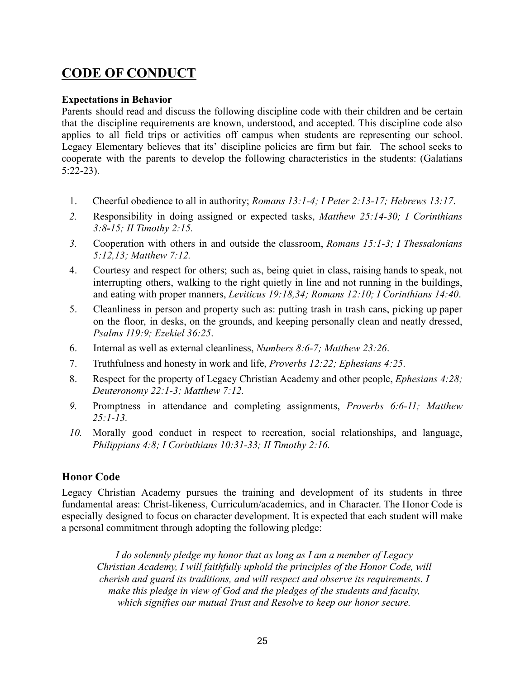# **CODE OF CONDUCT**

#### **Expectations in Behavior**

Parents should read and discuss the following discipline code with their children and be certain that the discipline requirements are known, understood, and accepted. This discipline code also applies to all field trips or activities off campus when students are representing our school. Legacy Elementary believes that its' discipline policies are firm but fair. The school seeks to cooperate with the parents to develop the following characteristics in the students: (Galatians 5:22-23).

- 1. Cheerful obedience to all in authority; *Romans 13:1-4; I Peter 2:13-17; Hebrews 13:17*.
- *2.* Responsibility in doing assigned or expected tasks, *Matthew 25:14-30; I Corinthians 3:8-15; II Timothy 2:15.*
- *3.* Cooperation with others in and outside the classroom, *Romans 15:1-3; I Thessalonians 5:12,13; Matthew 7:12.*
- 4. Courtesy and respect for others; such as, being quiet in class, raising hands to speak, not interrupting others, walking to the right quietly in line and not running in the buildings, and eating with proper manners, *Leviticus 19:18,34; Romans 12:10; I Corinthians 14:40*.
- 5. Cleanliness in person and property such as: putting trash in trash cans, picking up paper on the floor, in desks, on the grounds, and keeping personally clean and neatly dressed, *Psalms 119:9; Ezekiel 36:25*.
- 6. Internal as well as external cleanliness, *Numbers 8:6-7; Matthew 23:26*.
- 7. Truthfulness and honesty in work and life, *Proverbs 12:22; Ephesians 4:25*.
- 8. Respect for the property of Legacy Christian Academy and other people, *Ephesians 4:28; Deuteronomy 22:1-3; Matthew 7:12.*
- *9.* Promptness in attendance and completing assignments, *Proverbs 6:6-11; Matthew 25:1-13.*
- *10.* Morally good conduct in respect to recreation, social relationships, and language, *Philippians 4:8; I Corinthians 10:31-33; II Timothy 2:16.*

### **Honor Code**

Legacy Christian Academy pursues the training and development of its students in three fundamental areas: Christ-likeness, Curriculum/academics, and in Character. The Honor Code is especially designed to focus on character development. It is expected that each student will make a personal commitment through adopting the following pledge:

*I do solemnly pledge my honor that as long as I am a member of Legacy Christian Academy, I will faithfully uphold the principles of the Honor Code, will cherish and guard its traditions, and will respect and observe its requirements. I make this pledge in view of God and the pledges of the students and faculty, which signifies our mutual Trust and Resolve to keep our honor secure.*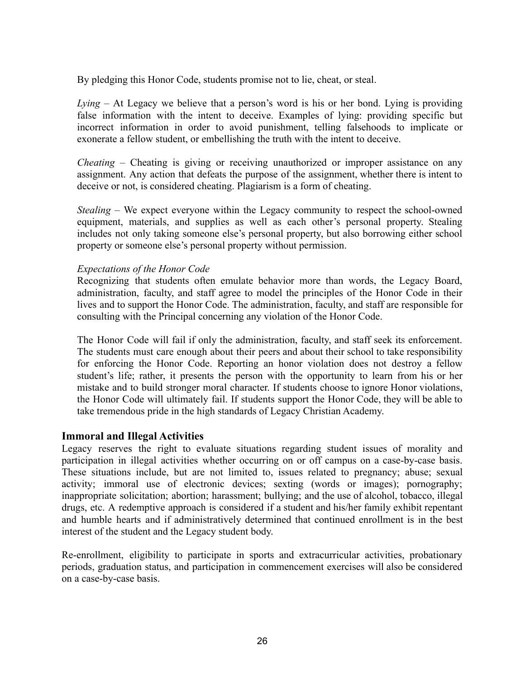By pledging this Honor Code, students promise not to lie, cheat, or steal.

*Lying –* At Legacy we believe that a person's word is his or her bond. Lying is providing false information with the intent to deceive. Examples of lying: providing specific but incorrect information in order to avoid punishment, telling falsehoods to implicate or exonerate a fellow student, or embellishing the truth with the intent to deceive.

*Cheating –* Cheating is giving or receiving unauthorized or improper assistance on any assignment. Any action that defeats the purpose of the assignment, whether there is intent to deceive or not, is considered cheating. Plagiarism is a form of cheating.

*Stealing –* We expect everyone within the Legacy community to respect the school-owned equipment, materials, and supplies as well as each other's personal property. Stealing includes not only taking someone else's personal property, but also borrowing either school property or someone else's personal property without permission.

#### *Expectations of the Honor Code*

Recognizing that students often emulate behavior more than words, the Legacy Board, administration, faculty, and staff agree to model the principles of the Honor Code in their lives and to support the Honor Code. The administration, faculty, and staff are responsible for consulting with the Principal concerning any violation of the Honor Code.

The Honor Code will fail if only the administration, faculty, and staff seek its enforcement. The students must care enough about their peers and about their school to take responsibility for enforcing the Honor Code. Reporting an honor violation does not destroy a fellow student's life; rather, it presents the person with the opportunity to learn from his or her mistake and to build stronger moral character. If students choose to ignore Honor violations, the Honor Code will ultimately fail. If students support the Honor Code, they will be able to take tremendous pride in the high standards of Legacy Christian Academy.

#### **Immoral and Illegal Activities**

Legacy reserves the right to evaluate situations regarding student issues of morality and participation in illegal activities whether occurring on or off campus on a case-by-case basis. These situations include, but are not limited to, issues related to pregnancy; abuse; sexual activity; immoral use of electronic devices; sexting (words or images); pornography; inappropriate solicitation; abortion; harassment; bullying; and the use of alcohol, tobacco, illegal drugs, etc. A redemptive approach is considered if a student and his/her family exhibit repentant and humble hearts and if administratively determined that continued enrollment is in the best interest of the student and the Legacy student body.

Re-enrollment, eligibility to participate in sports and extracurricular activities, probationary periods, graduation status, and participation in commencement exercises will also be considered on a case-by-case basis.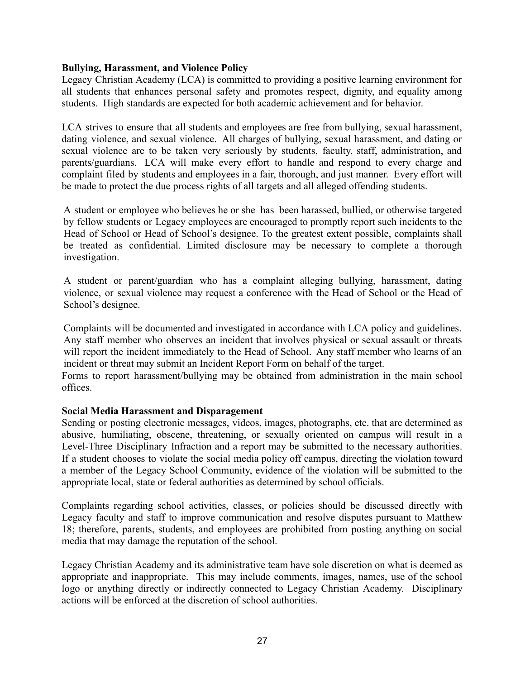#### **Bullying, Harassment, and Violence Policy**

Legacy Christian Academy (LCA) is committed to providing a positive learning environment for all students that enhances personal safety and promotes respect, dignity, and equality among students. High standards are expected for both academic achievement and for behavior.

LCA strives to ensure that all students and employees are free from bullying, sexual harassment, dating violence, and sexual violence. All charges of bullying, sexual harassment, and dating or sexual violence are to be taken very seriously by students, faculty, staff, administration, and parents/guardians. LCA will make every effort to handle and respond to every charge and complaint filed by students and employees in a fair, thorough, and just manner. Every effort will be made to protect the due process rights of all targets and all alleged offending students.

A student or employee who believes he or she has been harassed, bullied, or otherwise targeted by fellow students or Legacy employees are encouraged to promptly report such incidents to the Head of School or Head of School's designee. To the greatest extent possible, complaints shall be treated as confidential. Limited disclosure may be necessary to complete a thorough investigation.

A student or parent/guardian who has a complaint alleging bullying, harassment, dating violence, or sexual violence may request a conference with the Head of School or the Head of School's designee.

Complaints will be documented and investigated in accordance with LCA policy and guidelines. Any staff member who observes an incident that involves physical or sexual assault or threats will report the incident immediately to the Head of School. Any staff member who learns of an incident or threat may submit an Incident Report Form on behalf of the target.

Forms to report harassment/bullying may be obtained from administration in the main school offices.

#### **Social Media Harassment and Disparagement**

Sending or posting electronic messages, videos, images, photographs, etc. that are determined as abusive, humiliating, obscene, threatening, or sexually oriented on campus will result in a Level-Three Disciplinary Infraction and a report may be submitted to the necessary authorities. If a student chooses to violate the social media policy off campus, directing the violation toward a member of the Legacy School Community, evidence of the violation will be submitted to the appropriate local, state or federal authorities as determined by school officials.

Complaints regarding school activities, classes, or policies should be discussed directly with Legacy faculty and staff to improve communication and resolve disputes pursuant to Matthew 18; therefore, parents, students, and employees are prohibited from posting anything on social media that may damage the reputation of the school.

Legacy Christian Academy and its administrative team have sole discretion on what is deemed as appropriate and inappropriate. This may include comments, images, names, use of the school logo or anything directly or indirectly connected to Legacy Christian Academy. Disciplinary actions will be enforced at the discretion of school authorities.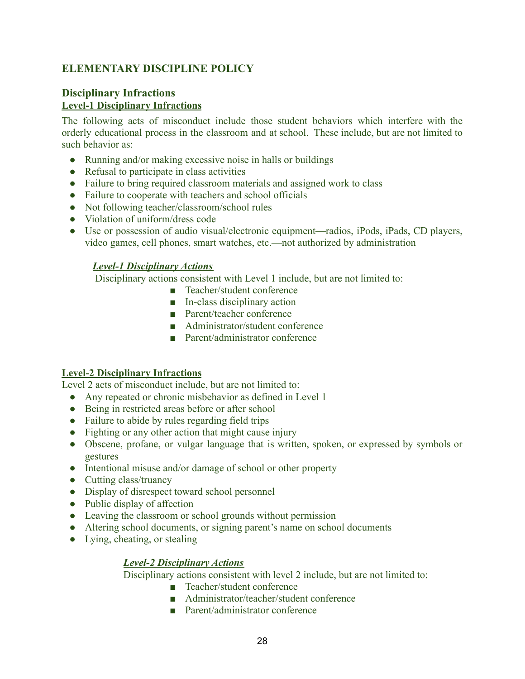## **ELEMENTARY DISCIPLINE POLICY**

#### **Disciplinary Infractions Level-1 Disciplinary Infractions**

The following acts of misconduct include those student behaviors which interfere with the orderly educational process in the classroom and at school. These include, but are not limited to such behavior as:

- Running and/or making excessive noise in halls or buildings
- Refusal to participate in class activities
- Failure to bring required classroom materials and assigned work to class
- Failure to cooperate with teachers and school officials
- Not following teacher/classroom/school rules
- Violation of uniform/dress code
- Use or possession of audio visual/electronic equipment—radios, iPods, iPads, CD players, video games, cell phones, smart watches, etc.—not authorized by administration

#### *Level-1 Disciplinary Actions*

Disciplinary actions consistent with Level 1 include, but are not limited to:

- Teacher/student conference
- In-class disciplinary action
- Parent/teacher conference
- Administrator/student conference
- Parent/administrator conference

#### **Level-2 Disciplinary Infractions**

Level 2 acts of misconduct include, but are not limited to:

- Any repeated or chronic misbehavior as defined in Level 1
- Being in restricted areas before or after school
- Failure to abide by rules regarding field trips
- Fighting or any other action that might cause injury
- Obscene, profane, or vulgar language that is written, spoken, or expressed by symbols or gestures
- Intentional misuse and/or damage of school or other property
- Cutting class/truancy
- Display of disrespect toward school personnel
- Public display of affection
- Leaving the classroom or school grounds without permission
- Altering school documents, or signing parent's name on school documents
- Lying, cheating, or stealing

#### *Level-2 Disciplinary Actions*

Disciplinary actions consistent with level 2 include, but are not limited to:

- Teacher/student conference
- Administrator/teacher/student conference
- Parent/administrator conference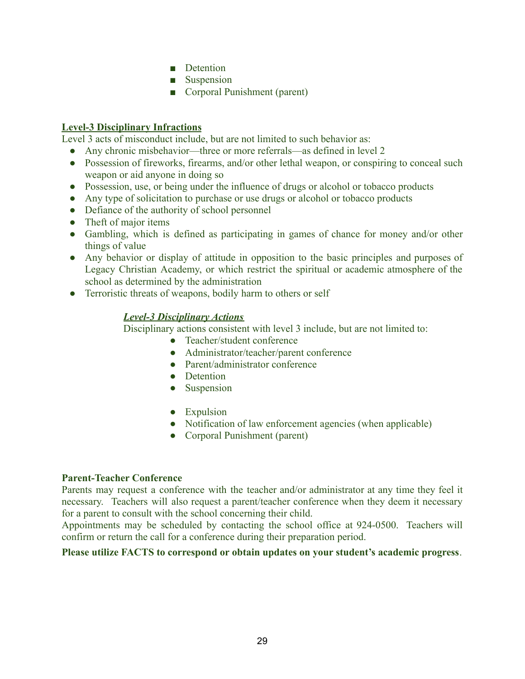- Detention
- Suspension
- Corporal Punishment (parent)

#### **Level-3 Disciplinary Infractions**

Level 3 acts of misconduct include, but are not limited to such behavior as:

- Any chronic misbehavior—three or more referrals—as defined in level 2
- Possession of fireworks, firearms, and/or other lethal weapon, or conspiring to conceal such weapon or aid anyone in doing so
- Possession, use, or being under the influence of drugs or alcohol or tobacco products
- Any type of solicitation to purchase or use drugs or alcohol or tobacco products
- Defiance of the authority of school personnel
- Theft of major items
- Gambling, which is defined as participating in games of chance for money and/or other things of value
- Any behavior or display of attitude in opposition to the basic principles and purposes of Legacy Christian Academy, or which restrict the spiritual or academic atmosphere of the school as determined by the administration
- Terroristic threats of weapons, bodily harm to others or self

#### *Level-3 Disciplinary Actions*

Disciplinary actions consistent with level 3 include, but are not limited to:

- Teacher/student conference
- Administrator/teacher/parent conference
- Parent/administrator conference
- Detention
- Suspension
- Expulsion
- Notification of law enforcement agencies (when applicable)
- Corporal Punishment (parent)

#### **Parent-Teacher Conference**

Parents may request a conference with the teacher and/or administrator at any time they feel it necessary. Teachers will also request a parent/teacher conference when they deem it necessary for a parent to consult with the school concerning their child.

Appointments may be scheduled by contacting the school office at 924-0500. Teachers will confirm or return the call for a conference during their preparation period.

#### **Please utilize FACTS to correspond or obtain updates on your student's academic progress**.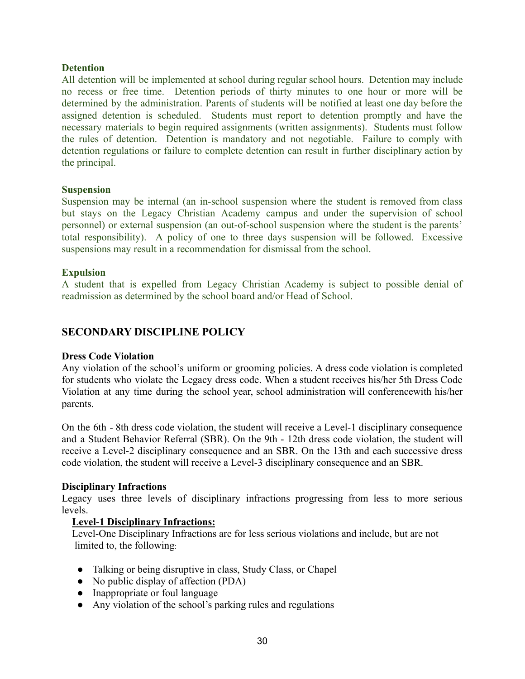#### **Detention**

All detention will be implemented at school during regular school hours. Detention may include no recess or free time. Detention periods of thirty minutes to one hour or more will be determined by the administration. Parents of students will be notified at least one day before the assigned detention is scheduled. Students must report to detention promptly and have the necessary materials to begin required assignments (written assignments). Students must follow the rules of detention. Detention is mandatory and not negotiable. Failure to comply with detention regulations or failure to complete detention can result in further disciplinary action by the principal.

#### **Suspension**

Suspension may be internal (an in-school suspension where the student is removed from class but stays on the Legacy Christian Academy campus and under the supervision of school personnel) or external suspension (an out-of-school suspension where the student is the parents' total responsibility). A policy of one to three days suspension will be followed. Excessive suspensions may result in a recommendation for dismissal from the school.

#### **Expulsion**

A student that is expelled from Legacy Christian Academy is subject to possible denial of readmission as determined by the school board and/or Head of School.

### **SECONDARY DISCIPLINE POLICY**

#### **Dress Code Violation**

Any violation of the school's uniform or grooming policies. A dress code violation is completed for students who violate the Legacy dress code. When a student receives his/her 5th Dress Code Violation at any time during the school year, school administration will conferencewith his/her parents.

On the 6th - 8th dress code violation, the student will receive a Level-1 disciplinary consequence and a Student Behavior Referral (SBR). On the 9th - 12th dress code violation, the student will receive a Level-2 disciplinary consequence and an SBR. On the 13th and each successive dress code violation, the student will receive a Level-3 disciplinary consequence and an SBR.

#### **Disciplinary Infractions**

Legacy uses three levels of disciplinary infractions progressing from less to more serious levels.

#### **Level-1 Disciplinary Infractions:**

Level-One Disciplinary Infractions are for less serious violations and include, but are not limited to, the following:

- Talking or being disruptive in class, Study Class, or Chapel
- No public display of affection (PDA)
- Inappropriate or foul language
- Any violation of the school's parking rules and regulations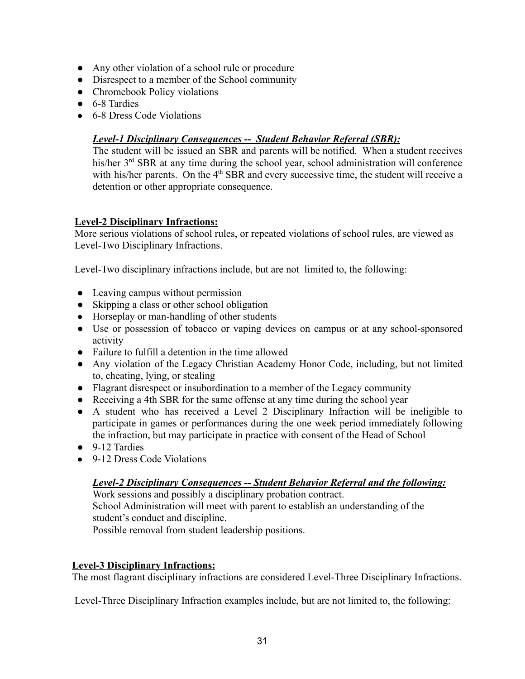- Any other violation of a school rule or procedure
- Disrespect to a member of the School community
- Chromebook Policy violations
- 6-8 Tardies
- 6-8 Dress Code Violations

#### *Level-1 Disciplinary Consequences -- Student Behavior Referral (SBR):*

The student will be issued an SBR and parents will be notified. When a student receives his/her 3<sup>rd</sup> SBR at any time during the school year, school administration will conference with his/her parents. On the  $4<sup>th</sup>$  SBR and every successive time, the student will receive a detention or other appropriate consequence.

#### **Level-2 Disciplinary Infractions:**

More serious violations of school rules, or repeated violations of school rules, are viewed as Level-Two Disciplinary Infractions.

Level-Two disciplinary infractions include, but are not limited to, the following:

- Leaving campus without permission
- Skipping a class or other school obligation
- Horseplay or man-handling of other students
- Use or possession of tobacco or vaping devices on campus or at any school-sponsored activity
- Failure to fulfill a detention in the time allowed
- Any violation of the Legacy Christian Academy Honor Code, including, but not limited to, cheating, lying, or stealing
- Flagrant disrespect or insubordination to a member of the Legacy community
- Receiving a 4th SBR for the same offense at any time during the school year
- A student who has received a Level 2 Disciplinary Infraction will be ineligible to participate in games or performances during the one week period immediately following the infraction, but may participate in practice with consent of the Head of School
- 9-12 Tardies
- 9-12 Dress Code Violations

#### *Level-2 Disciplinary Consequences -- Student Behavior Referral and the following:*

Work sessions and possibly a disciplinary probation contract. School Administration will meet with parent to establish an understanding of the student's conduct and discipline. Possible removal from student leadership positions.

#### **Level-3 Disciplinary Infractions:**

The most flagrant disciplinary infractions are considered Level-Three Disciplinary Infractions.

Level-Three Disciplinary Infraction examples include, but are not limited to, the following: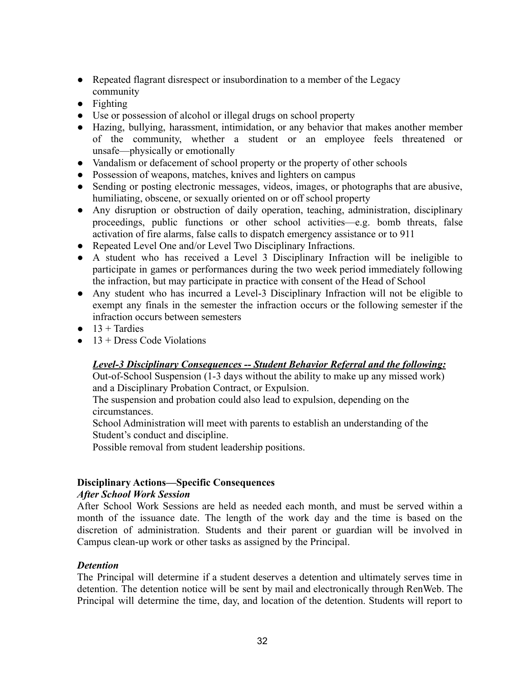- Repeated flagrant disrespect or insubordination to a member of the Legacy community
- Fighting
- Use or possession of alcohol or illegal drugs on school property
- Hazing, bullying, harassment, intimidation, or any behavior that makes another member of the community, whether a student or an employee feels threatened or unsafe—physically or emotionally
- Vandalism or defacement of school property or the property of other schools
- Possession of weapons, matches, knives and lighters on campus
- Sending or posting electronic messages, videos, images, or photographs that are abusive, humiliating, obscene, or sexually oriented on or off school property
- Any disruption or obstruction of daily operation, teaching, administration, disciplinary proceedings, public functions or other school activities—e.g. bomb threats, false activation of fire alarms, false calls to dispatch emergency assistance or to 911
- Repeated Level One and/or Level Two Disciplinary Infractions.
- A student who has received a Level 3 Disciplinary Infraction will be ineligible to participate in games or performances during the two week period immediately following the infraction, but may participate in practice with consent of the Head of School
- Any student who has incurred a Level-3 Disciplinary Infraction will not be eligible to exempt any finals in the semester the infraction occurs or the following semester if the infraction occurs between semesters
- $\bullet$  13 + Tardies
- $\bullet$  13 + Dress Code Violations

#### *Level-3 Disciplinary Consequences -- Student Behavior Referral and the following:*

Out-of-School Suspension (1-3 days without the ability to make up any missed work) and a Disciplinary Probation Contract, or Expulsion.

The suspension and probation could also lead to expulsion, depending on the circumstances.

School Administration will meet with parents to establish an understanding of the Student's conduct and discipline.

Possible removal from student leadership positions.

### **Disciplinary Actions—Specific Consequences**

#### *After School Work Session*

After School Work Sessions are held as needed each month, and must be served within a month of the issuance date. The length of the work day and the time is based on the discretion of administration. Students and their parent or guardian will be involved in Campus clean-up work or other tasks as assigned by the Principal.

#### *Detention*

The Principal will determine if a student deserves a detention and ultimately serves time in detention. The detention notice will be sent by mail and electronically through RenWeb. The Principal will determine the time, day, and location of the detention. Students will report to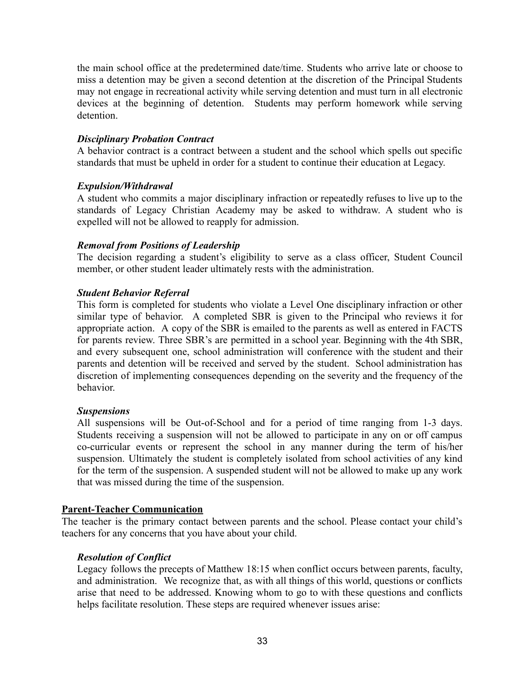the main school office at the predetermined date/time. Students who arrive late or choose to miss a detention may be given a second detention at the discretion of the Principal Students may not engage in recreational activity while serving detention and must turn in all electronic devices at the beginning of detention. Students may perform homework while serving detention.

#### *Disciplinary Probation Contract*

A behavior contract is a contract between a student and the school which spells out specific standards that must be upheld in order for a student to continue their education at Legacy.

#### *Expulsion/Withdrawal*

A student who commits a major disciplinary infraction or repeatedly refuses to live up to the standards of Legacy Christian Academy may be asked to withdraw. A student who is expelled will not be allowed to reapply for admission.

#### *Removal from Positions of Leadership*

The decision regarding a student's eligibility to serve as a class officer, Student Council member, or other student leader ultimately rests with the administration.

#### *Student Behavior Referral*

This form is completed for students who violate a Level One disciplinary infraction or other similar type of behavior. A completed SBR is given to the Principal who reviews it for appropriate action. A copy of the SBR is emailed to the parents as well as entered in FACTS for parents review. Three SBR's are permitted in a school year. Beginning with the 4th SBR, and every subsequent one, school administration will conference with the student and their parents and detention will be received and served by the student. School administration has discretion of implementing consequences depending on the severity and the frequency of the behavior.

#### *Suspensions*

All suspensions will be Out-of-School and for a period of time ranging from 1-3 days. Students receiving a suspension will not be allowed to participate in any on or off campus co-curricular events or represent the school in any manner during the term of his/her suspension. Ultimately the student is completely isolated from school activities of any kind for the term of the suspension. A suspended student will not be allowed to make up any work that was missed during the time of the suspension.

#### **Parent-Teacher Communication**

The teacher is the primary contact between parents and the school. Please contact your child's teachers for any concerns that you have about your child.

#### *Resolution of Conflict*

Legacy follows the precepts of Matthew 18:15 when conflict occurs between parents, faculty, and administration. We recognize that, as with all things of this world, questions or conflicts arise that need to be addressed. Knowing whom to go to with these questions and conflicts helps facilitate resolution. These steps are required whenever issues arise: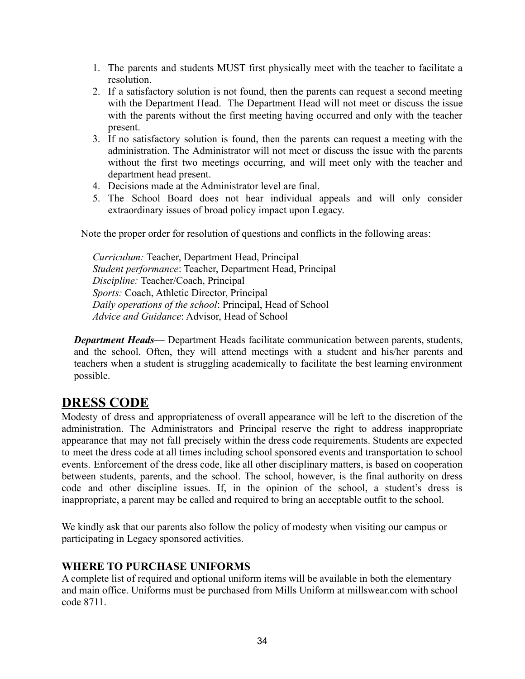- 1. The parents and students MUST first physically meet with the teacher to facilitate a resolution.
- 2. If a satisfactory solution is not found, then the parents can request a second meeting with the Department Head. The Department Head will not meet or discuss the issue with the parents without the first meeting having occurred and only with the teacher present.
- 3. If no satisfactory solution is found, then the parents can request a meeting with the administration. The Administrator will not meet or discuss the issue with the parents without the first two meetings occurring, and will meet only with the teacher and department head present.
- 4. Decisions made at the Administrator level are final.
- 5. The School Board does not hear individual appeals and will only consider extraordinary issues of broad policy impact upon Legacy.

Note the proper order for resolution of questions and conflicts in the following areas:

*Curriculum:* Teacher, Department Head, Principal *Student performance*: Teacher, Department Head, Principal *Discipline:* Teacher/Coach, Principal *Sports:* Coach, Athletic Director, Principal *Daily operations of the school*: Principal, Head of School *Advice and Guidance*: Advisor, Head of School

*Department Heads*— Department Heads facilitate communication between parents, students, and the school. Often, they will attend meetings with a student and his/her parents and teachers when a student is struggling academically to facilitate the best learning environment possible.

## **DRESS CODE**

Modesty of dress and appropriateness of overall appearance will be left to the discretion of the administration. The Administrators and Principal reserve the right to address inappropriate appearance that may not fall precisely within the dress code requirements. Students are expected to meet the dress code at all times including school sponsored events and transportation to school events. Enforcement of the dress code, like all other disciplinary matters, is based on cooperation between students, parents, and the school. The school, however, is the final authority on dress code and other discipline issues. If, in the opinion of the school, a student's dress is inappropriate, a parent may be called and required to bring an acceptable outfit to the school.

We kindly ask that our parents also follow the policy of modesty when visiting our campus or participating in Legacy sponsored activities.

#### **WHERE TO PURCHASE UNIFORMS**

A complete list of required and optional uniform items will be available in both the elementary and main office. Uniforms must be purchased from Mills Uniform at millswear.com with school code 8711.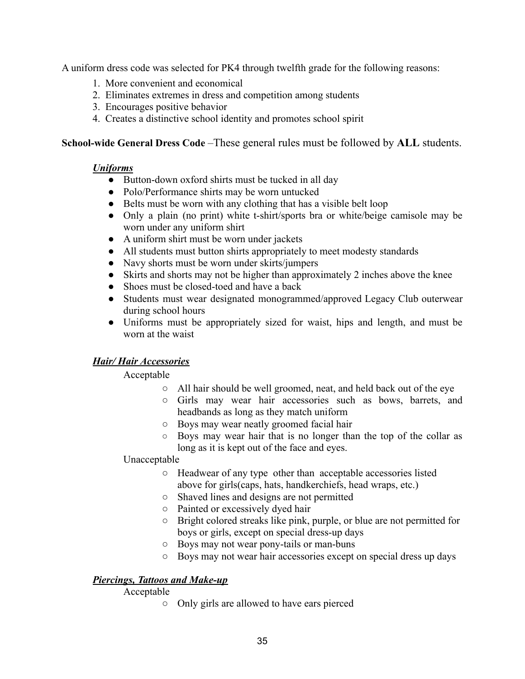A uniform dress code was selected for PK4 through twelfth grade for the following reasons:

- 1. More convenient and economical
- 2. Eliminates extremes in dress and competition among students
- 3. Encourages positive behavior
- 4. Creates a distinctive school identity and promotes school spirit

#### **School-wide General Dress Code** *–*These general rules must be followed by **ALL** students.

#### *Uniforms*

- Button-down oxford shirts must be tucked in all day
- Polo/Performance shirts may be worn untucked
- Belts must be worn with any clothing that has a visible belt loop
- Only a plain (no print) white t-shirt/sports bra or white/beige camisole may be worn under any uniform shirt
- A uniform shirt must be worn under jackets
- All students must button shirts appropriately to meet modesty standards
- Navy shorts must be worn under skirts/jumpers
- Skirts and shorts may not be higher than approximately 2 inches above the knee
- Shoes must be closed-toed and have a back
- Students must wear designated monogrammed/approved Legacy Club outerwear during school hours
- Uniforms must be appropriately sized for waist, hips and length, and must be worn at the waist

### *Hair/ Hair Accessories*

#### Acceptable

- All hair should be well groomed, neat, and held back out of the eye
- Girls may wear hair accessories such as bows, barrets, and headbands as long as they match uniform
- Boys may wear neatly groomed facial hair
- Boys may wear hair that is no longer than the top of the collar as long as it is kept out of the face and eyes.

#### Unacceptable

- Headwear of any type other than acceptable accessories listed above for girls(caps, hats, handkerchiefs, head wraps, etc.)
- Shaved lines and designs are not permitted
- Painted or excessively dyed hair
- **○** Bright colored streaks like pink, purple, or blue are not permitted for boys or girls, except on special dress-up days
- Boys may not wear pony-tails or man-buns
- Boys may not wear hair accessories except on special dress up days

### *Piercings, Tattoos and Make-up*

#### Acceptable

○ Only girls are allowed to have ears pierced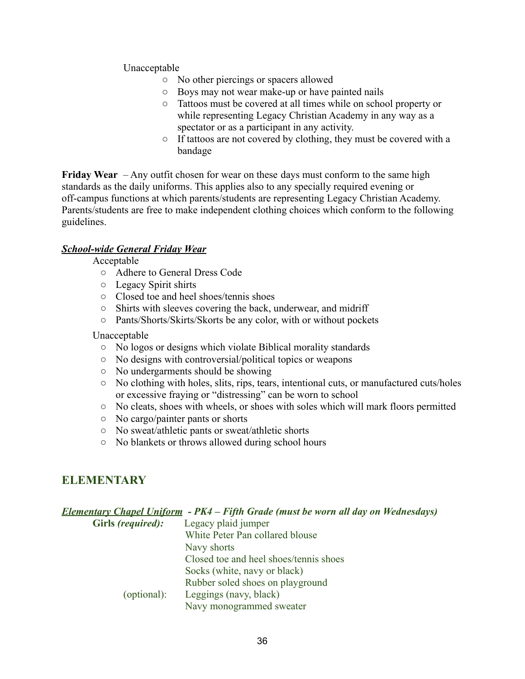Unacceptable

- No other piercings or spacers allowed
- Boys may not wear make-up or have painted nails
- Tattoos must be covered at all times while on school property or while representing Legacy Christian Academy in any way as a spectator or as a participant in any activity.
- If tattoos are not covered by clothing, they must be covered with a bandage

**Friday Wear** – Any outfit chosen for wear on these days must conform to the same high standards as the daily uniforms. This applies also to any specially required evening or off-campus functions at which parents/students are representing Legacy Christian Academy. Parents/students are free to make independent clothing choices which conform to the following guidelines.

#### *School-wide General Friday Wear*

Acceptable

- Adhere to General Dress Code
- Legacy Spirit shirts
- Closed toe and heel shoes/tennis shoes
- Shirts with sleeves covering the back, underwear, and midriff
- Pants/Shorts/Skirts/Skorts be any color, with or without pockets

Unacceptable

- No logos or designs which violate Biblical morality standards
- No designs with controversial/political topics or weapons
- No undergarments should be showing
- No clothing with holes, slits, rips, tears, intentional cuts, or manufactured cuts/holes or excessive fraying or "distressing" can be worn to school
- No cleats, shoes with wheels, or shoes with soles which will mark floors permitted
- No cargo/painter pants or shorts
- No sweat/athletic pants or sweat/athletic shorts
- No blankets or throws allowed during school hours

## **ELEMENTARY**

*Elementary Chapel Uniform - PK4 – Fifth Grade (must be worn all day on Wednesdays)*

**Girls** *(required):* Legacy plaid jumper White Peter Pan collared blouse Navy shorts Closed toe and heel shoes/tennis shoes Socks (white, navy or black) Rubber soled shoes on playground (optional): Leggings (navy, black) Navy monogrammed sweater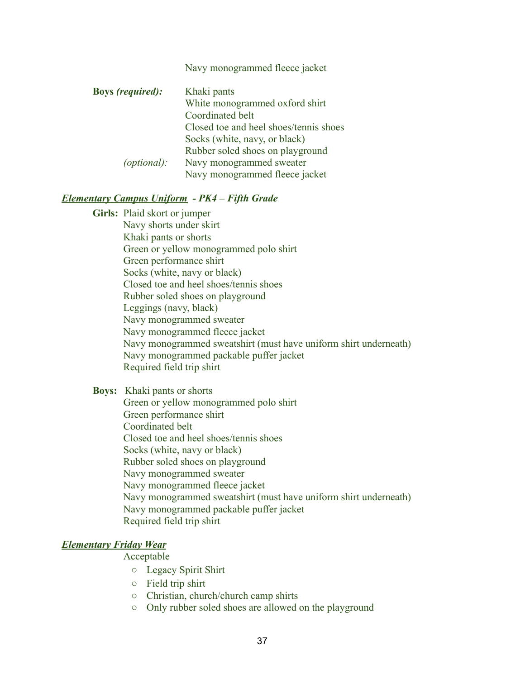|                         | Navy monogrammed fleece jacket         |
|-------------------------|----------------------------------------|
| <b>Boys</b> (required): | Khaki pants                            |
|                         | White monogrammed oxford shirt         |
|                         | Coordinated belt                       |
|                         | Closed toe and heel shoes/tennis shoes |
|                         | Socks (white, navy, or black)          |
|                         | Rubber soled shoes on playground       |
| (optional):             | Navy monogrammed sweater               |
|                         | Navy monogrammed fleece jacket         |

#### *Elementary Campus Uniform - PK4 – Fifth Grade*

**Girls:** Plaid skort or jumper Navy shorts under skirt Khaki pants or shorts Green or yellow monogrammed polo shirt Green performance shirt Socks (white, navy or black) Closed toe and heel shoes/tennis shoes Rubber soled shoes on playground Leggings (navy, black) Navy monogrammed sweater Navy monogrammed fleece jacket Navy monogrammed sweatshirt (must have uniform shirt underneath) Navy monogrammed packable puffer jacket Required field trip shirt

**Boys:** Khaki pants or shorts Green or yellow monogrammed polo shirt Green performance shirt Coordinated belt Closed toe and heel shoes/tennis shoes Socks (white, navy or black) Rubber soled shoes on playground Navy monogrammed sweater Navy monogrammed fleece jacket Navy monogrammed sweatshirt (must have uniform shirt underneath) Navy monogrammed packable puffer jacket Required field trip shirt

#### *Elementary Friday Wear*

#### Acceptable

- Legacy Spirit Shirt
- Field trip shirt
- Christian, church/church camp shirts
- Only rubber soled shoes are allowed on the playground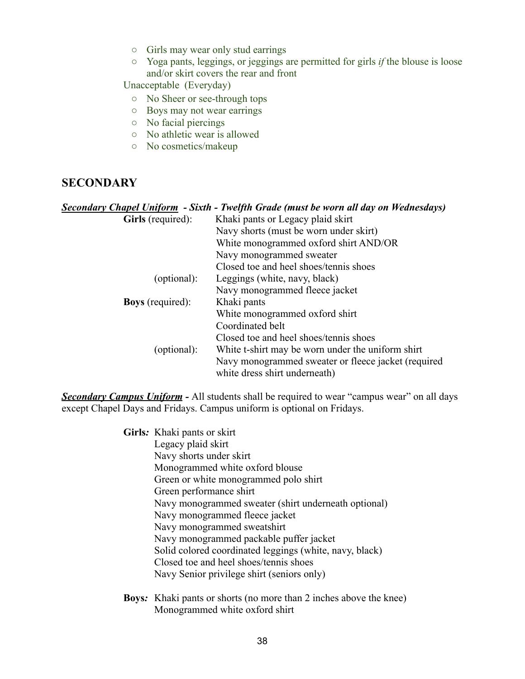- Girls may wear only stud earrings
- Yoga pants, leggings, or jeggings are permitted for girls *if* the blouse is loose and/or skirt covers the rear and front

Unacceptable (Everyday)

- No Sheer or see-through tops
- Boys may not wear earrings
- No facial piercings
- No athletic wear is allowed
- No cosmetics/makeup

#### **SECONDARY**

#### *Secondary Chapel Uniform - Sixth - Twelfth Grade (must be worn all day on Wednesdays)*

| <b>Girls</b> (required): | Khaki pants or Legacy plaid skirt                   |
|--------------------------|-----------------------------------------------------|
|                          | Navy shorts (must be worn under skirt)              |
|                          | White monogrammed oxford shirt AND/OR               |
|                          | Navy monogrammed sweater                            |
|                          | Closed toe and heel shoes/tennis shoes              |
| (optional):              | Leggings (white, navy, black)                       |
|                          | Navy monogrammed fleece jacket                      |
| <b>Boys</b> (required):  | Khaki pants                                         |
|                          | White monogrammed oxford shirt                      |
|                          | Coordinated belt                                    |
|                          | Closed toe and heel shoes/tennis shoes              |
| (optional):              | White t-shirt may be worn under the uniform shirt   |
|                          | Navy monogrammed sweater or fleece jacket (required |
|                          | white dress shirt underneath)                       |

**Secondary Campus Uniform -** All students shall be required to wear "campus wear" on all days except Chapel Days and Fridays. Campus uniform is optional on Fridays.

> **Girls***:* Khaki pants or skirt Legacy plaid skirt Navy shorts under skirt Monogrammed white oxford blouse Green or white monogrammed polo shirt Green performance shirt Navy monogrammed sweater (shirt underneath optional) Navy monogrammed fleece jacket Navy monogrammed sweatshirt Navy monogrammed packable puffer jacket Solid colored coordinated leggings (white, navy, black) Closed toe and heel shoes/tennis shoes Navy Senior privilege shirt (seniors only)

**Boys***:* Khaki pants or shorts (no more than 2 inches above the knee) Monogrammed white oxford shirt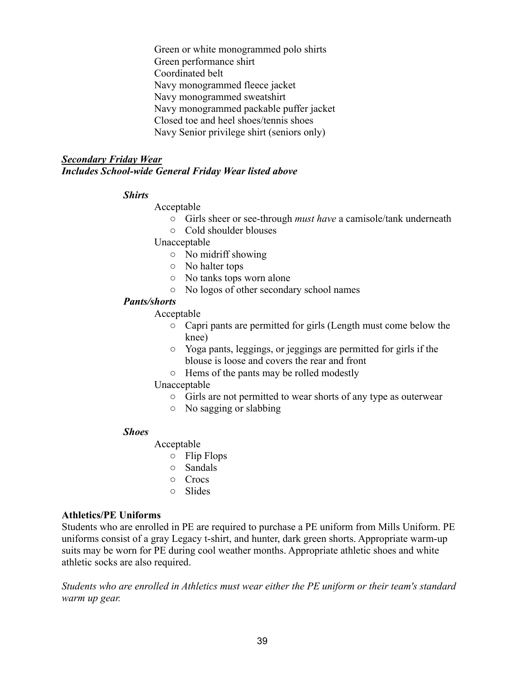Green or white monogrammed polo shirts Green performance shirt Coordinated belt Navy monogrammed fleece jacket Navy monogrammed sweatshirt Navy monogrammed packable puffer jacket Closed toe and heel shoes/tennis shoes Navy Senior privilege shirt (seniors only)

#### *Secondary Friday Wear Includes School-wide General Friday Wear listed above*

#### *Shirts*

Acceptable

- Girls sheer or see-through *must have* a camisole/tank underneath
- Cold shoulder blouses

Unacceptable

- No midriff showing
- No halter tops
- No tanks tops worn alone
- No logos of other secondary school names

#### *Pants/shorts*

Acceptable

- Capri pants are permitted for girls (Length must come below the knee)
- Yoga pants, leggings, or jeggings are permitted for girls if the blouse is loose and covers the rear and front
- Hems of the pants may be rolled modestly

#### Unacceptable

- Girls are not permitted to wear shorts of any type as outerwear
- No sagging or slabbing

#### *Shoes*

#### Acceptable

- Flip Flops
- Sandals
- Crocs
- Slides

#### **Athletics/PE Uniforms**

Students who are enrolled in PE are required to purchase a PE uniform from Mills Uniform. PE uniforms consist of a gray Legacy t-shirt, and hunter, dark green shorts. Appropriate warm-up suits may be worn for PE during cool weather months. Appropriate athletic shoes and white athletic socks are also required.

*Students who are enrolled in Athletics must wear either the PE uniform or their team's standard warm up gear.*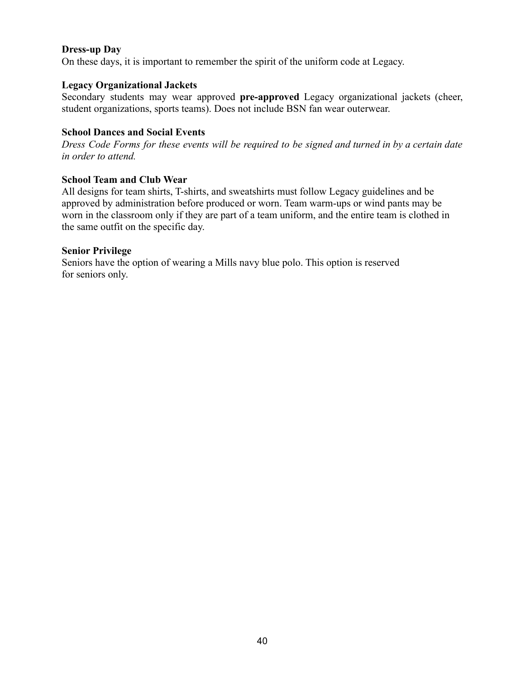#### **Dress-up Day**

On these days, it is important to remember the spirit of the uniform code at Legacy.

#### **Legacy Organizational Jackets**

Secondary students may wear approved **pre-approved** Legacy organizational jackets (cheer, student organizations, sports teams). Does not include BSN fan wear outerwear.

#### **School Dances and Social Events**

Dress Code Forms for these events will be required to be signed and turned in by a certain date *in order to attend.*

#### **School Team and Club Wear**

All designs for team shirts, T-shirts, and sweatshirts must follow Legacy guidelines and be approved by administration before produced or worn. Team warm-ups or wind pants may be worn in the classroom only if they are part of a team uniform, and the entire team is clothed in the same outfit on the specific day.

#### **Senior Privilege**

Seniors have the option of wearing a Mills navy blue polo. This option is reserved for seniors only.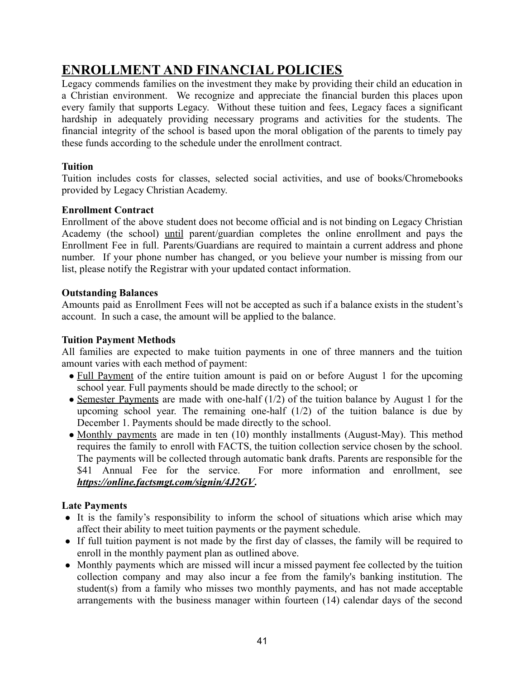# **ENROLLMENT AND FINANCIAL POLICIES**

Legacy commends families on the investment they make by providing their child an education in a Christian environment. We recognize and appreciate the financial burden this places upon every family that supports Legacy. Without these tuition and fees, Legacy faces a significant hardship in adequately providing necessary programs and activities for the students. The financial integrity of the school is based upon the moral obligation of the parents to timely pay these funds according to the schedule under the enrollment contract.

#### **Tuition**

Tuition includes costs for classes, selected social activities, and use of books/Chromebooks provided by Legacy Christian Academy.

#### **Enrollment Contract**

Enrollment of the above student does not become official and is not binding on Legacy Christian Academy (the school) until parent/guardian completes the online enrollment and pays the Enrollment Fee in full. Parents/Guardians are required to maintain a current address and phone number. If your phone number has changed, or you believe your number is missing from our list, please notify the Registrar with your updated contact information.

#### **Outstanding Balances**

Amounts paid as Enrollment Fees will not be accepted as such if a balance exists in the student's account. In such a case, the amount will be applied to the balance.

#### **Tuition Payment Methods**

All families are expected to make tuition payments in one of three manners and the tuition amount varies with each method of payment:

- Full Payment of the entire tuition amount is paid on or before August 1 for the upcoming school year. Full payments should be made directly to the school; or
- Semester Payments are made with one-half (1/2) of the tuition balance by August 1 for the upcoming school year. The remaining one-half  $(1/2)$  of the tuition balance is due by December 1. Payments should be made directly to the school.
- Monthly payments are made in ten (10) monthly installments (August-May). This method requires the family to enroll with FACTS, the tuition collection service chosen by the school. The payments will be collected through automatic bank drafts. Parents are responsible for the \$41 Annual Fee for the service. For more information and enrollment, see *<https://online.factsmgt.com/signin/4J2GV>***.**

#### **Late Payments**

- It is the family's responsibility to inform the school of situations which arise which may affect their ability to meet tuition payments or the payment schedule.
- If full tuition payment is not made by the first day of classes, the family will be required to enroll in the monthly payment plan as outlined above.
- Monthly payments which are missed will incur a missed payment fee collected by the tuition collection company and may also incur a fee from the family's banking institution. The student(s) from a family who misses two monthly payments, and has not made acceptable arrangements with the business manager within fourteen (14) calendar days of the second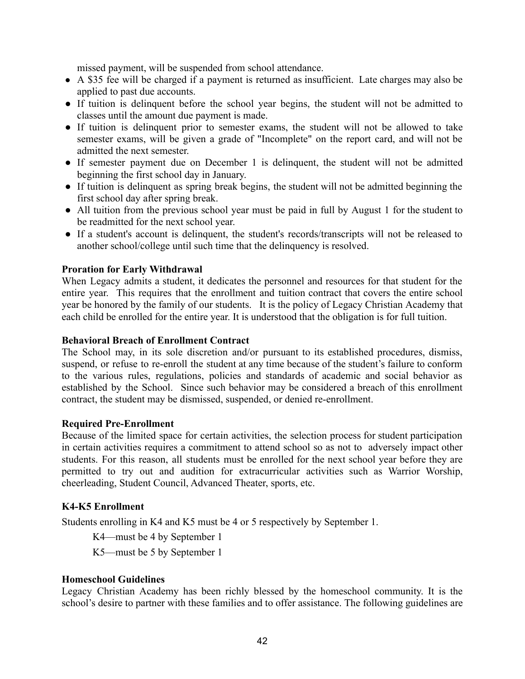missed payment, will be suspended from school attendance.

- A \$35 fee will be charged if a payment is returned as insufficient. Late charges may also be applied to past due accounts.
- If tuition is delinquent before the school year begins, the student will not be admitted to classes until the amount due payment is made.
- If tuition is delinquent prior to semester exams, the student will not be allowed to take semester exams, will be given a grade of "Incomplete" on the report card, and will not be admitted the next semester.
- If semester payment due on December 1 is delinguent, the student will not be admitted beginning the first school day in January.
- If tuition is delinguent as spring break begins, the student will not be admitted beginning the first school day after spring break.
- All tuition from the previous school year must be paid in full by August 1 for the student to be readmitted for the next school year.
- If a student's account is delinquent, the student's records/transcripts will not be released to another school/college until such time that the delinquency is resolved.

#### **Proration for Early Withdrawal**

When Legacy admits a student, it dedicates the personnel and resources for that student for the entire year. This requires that the enrollment and tuition contract that covers the entire school year be honored by the family of our students. It is the policy of Legacy Christian Academy that each child be enrolled for the entire year. It is understood that the obligation is for full tuition.

#### **Behavioral Breach of Enrollment Contract**

The School may, in its sole discretion and/or pursuant to its established procedures, dismiss, suspend, or refuse to re-enroll the student at any time because of the student's failure to conform to the various rules, regulations, policies and standards of academic and social behavior as established by the School. Since such behavior may be considered a breach of this enrollment contract, the student may be dismissed, suspended, or denied re-enrollment.

#### **Required Pre-Enrollment**

Because of the limited space for certain activities, the selection process for student participation in certain activities requires a commitment to attend school so as not to adversely impact other students. For this reason, all students must be enrolled for the next school year before they are permitted to try out and audition for extracurricular activities such as Warrior Worship, cheerleading, Student Council, Advanced Theater, sports, etc.

#### **K4-K5 Enrollment**

Students enrolling in K4 and K5 must be 4 or 5 respectively by September 1.

K4—must be 4 by September 1

K5—must be 5 by September 1

#### **Homeschool Guidelines**

Legacy Christian Academy has been richly blessed by the homeschool community. It is the school's desire to partner with these families and to offer assistance. The following guidelines are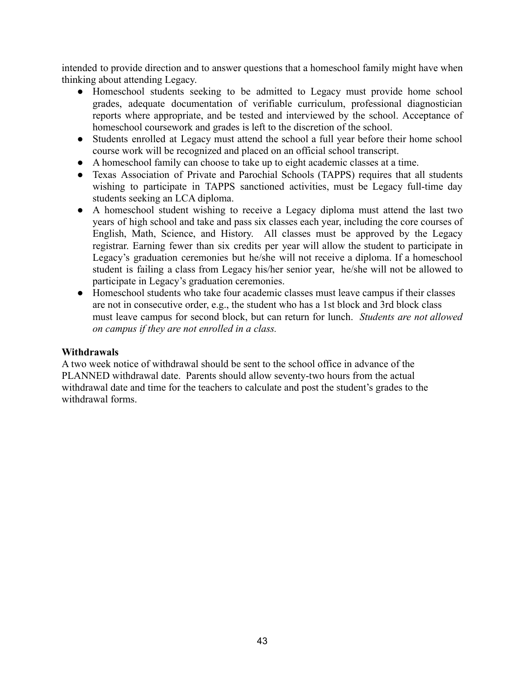intended to provide direction and to answer questions that a homeschool family might have when thinking about attending Legacy.

- Homeschool students seeking to be admitted to Legacy must provide home school grades, adequate documentation of verifiable curriculum, professional diagnostician reports where appropriate, and be tested and interviewed by the school. Acceptance of homeschool coursework and grades is left to the discretion of the school.
- Students enrolled at Legacy must attend the school a full year before their home school course work will be recognized and placed on an official school transcript.
- A homeschool family can choose to take up to eight academic classes at a time.
- Texas Association of Private and Parochial Schools (TAPPS) requires that all students wishing to participate in TAPPS sanctioned activities, must be Legacy full-time day students seeking an LCA diploma.
- A homeschool student wishing to receive a Legacy diploma must attend the last two years of high school and take and pass six classes each year, including the core courses of English, Math, Science, and History. All classes must be approved by the Legacy registrar. Earning fewer than six credits per year will allow the student to participate in Legacy's graduation ceremonies but he/she will not receive a diploma. If a homeschool student is failing a class from Legacy his/her senior year, he/she will not be allowed to participate in Legacy's graduation ceremonies.
- Homeschool students who take four academic classes must leave campus if their classes are not in consecutive order, e.g., the student who has a 1st block and 3rd block class must leave campus for second block, but can return for lunch. *Students are not allowed on campus if they are not enrolled in a class.*

#### **Withdrawals**

A two week notice of withdrawal should be sent to the school office in advance of the PLANNED withdrawal date. Parents should allow seventy-two hours from the actual withdrawal date and time for the teachers to calculate and post the student's grades to the withdrawal forms.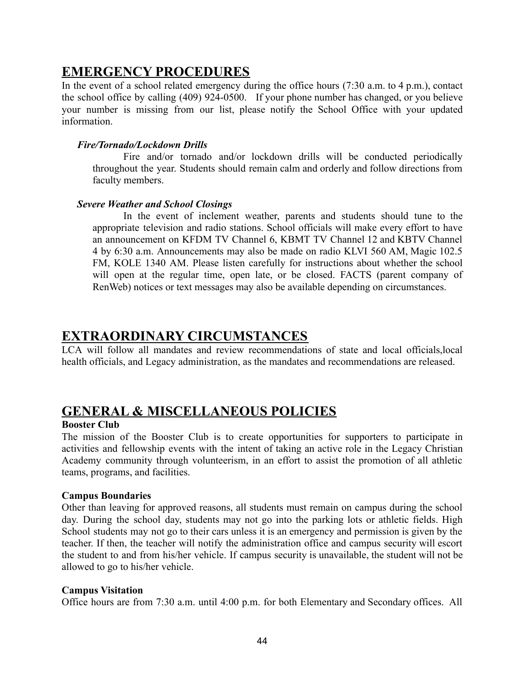## **EMERGENCY PROCEDURES**

In the event of a school related emergency during the office hours (7:30 a.m. to 4 p.m.), contact the school office by calling (409) 924-0500. If your phone number has changed, or you believe your number is missing from our list, please notify the School Office with your updated information.

#### *Fire/Tornado/Lockdown Drills*

Fire and/or tornado and/or lockdown drills will be conducted periodically throughout the year. Students should remain calm and orderly and follow directions from faculty members.

#### *Severe Weather and School Closings*

In the event of inclement weather, parents and students should tune to the appropriate television and radio stations. School officials will make every effort to have an announcement on KFDM TV Channel 6, KBMT TV Channel 12 and KBTV Channel 4 by 6:30 a.m. Announcements may also be made on radio KLVI 560 AM, Magic 102.5 FM, KOLE 1340 AM. Please listen carefully for instructions about whether the school will open at the regular time, open late, or be closed. FACTS (parent company of RenWeb) notices or text messages may also be available depending on circumstances.

## **EXTRAORDINARY CIRCUMSTANCES**

LCA will follow all mandates and review recommendations of state and local officials,local health officials, and Legacy administration, as the mandates and recommendations are released.

## **GENERAL & MISCELLANEOUS POLICIES**

#### **Booster Club**

The mission of the Booster Club is to create opportunities for supporters to participate in activities and fellowship events with the intent of taking an active role in the Legacy Christian Academy community through volunteerism, in an effort to assist the promotion of all athletic teams, programs, and facilities.

#### **Campus Boundaries**

Other than leaving for approved reasons, all students must remain on campus during the school day. During the school day, students may not go into the parking lots or athletic fields. High School students may not go to their cars unless it is an emergency and permission is given by the teacher. If then, the teacher will notify the administration office and campus security will escort the student to and from his/her vehicle. If campus security is unavailable, the student will not be allowed to go to his/her vehicle.

#### **Campus Visitation**

Office hours are from 7:30 a.m. until 4:00 p.m. for both Elementary and Secondary offices. All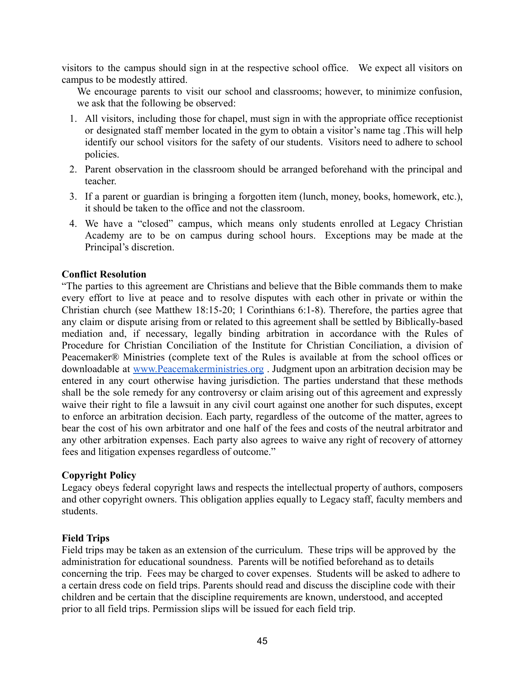visitors to the campus should sign in at the respective school office. We expect all visitors on campus to be modestly attired.

We encourage parents to visit our school and classrooms; however, to minimize confusion, we ask that the following be observed:

- 1. All visitors, including those for chapel, must sign in with the appropriate office receptionist or designated staff member located in the gym to obtain a visitor's name tag .This will help identify our school visitors for the safety of our students. Visitors need to adhere to school policies.
- 2. Parent observation in the classroom should be arranged beforehand with the principal and teacher.
- 3. If a parent or guardian is bringing a forgotten item (lunch, money, books, homework, etc.), it should be taken to the office and not the classroom.
- 4. We have a "closed" campus, which means only students enrolled at Legacy Christian Academy are to be on campus during school hours. Exceptions may be made at the Principal's discretion.

#### **Conflict Resolution**

"The parties to this agreement are Christians and believe that the Bible commands them to make every effort to live at peace and to resolve disputes with each other in private or within the Christian church (see Matthew 18:15-20; 1 Corinthians 6:1-8). Therefore, the parties agree that any claim or dispute arising from or related to this agreement shall be settled by Biblically-based mediation and, if necessary, legally binding arbitration in accordance with the Rules of Procedure for Christian Conciliation of the Institute for Christian Conciliation, a division of Peacemaker® Ministries (complete text of the Rules is available at from the school offices or downloadable at [www.Peacemakerministries.org](http://www.peacemakerministrie.org) . Judgment upon an arbitration decision may be entered in any court otherwise having jurisdiction. The parties understand that these methods shall be the sole remedy for any controversy or claim arising out of this agreement and expressly waive their right to file a lawsuit in any civil court against one another for such disputes, except to enforce an arbitration decision. Each party, regardless of the outcome of the matter, agrees to bear the cost of his own arbitrator and one half of the fees and costs of the neutral arbitrator and any other arbitration expenses. Each party also agrees to waive any right of recovery of attorney fees and litigation expenses regardless of outcome."

#### **Copyright Policy**

Legacy obeys federal copyright laws and respects the intellectual property of authors, composers and other copyright owners. This obligation applies equally to Legacy staff, faculty members and students.

#### **Field Trips**

Field trips may be taken as an extension of the curriculum. These trips will be approved by the administration for educational soundness. Parents will be notified beforehand as to details concerning the trip. Fees may be charged to cover expenses. Students will be asked to adhere to a certain dress code on field trips. Parents should read and discuss the discipline code with their children and be certain that the discipline requirements are known, understood, and accepted prior to all field trips. Permission slips will be issued for each field trip.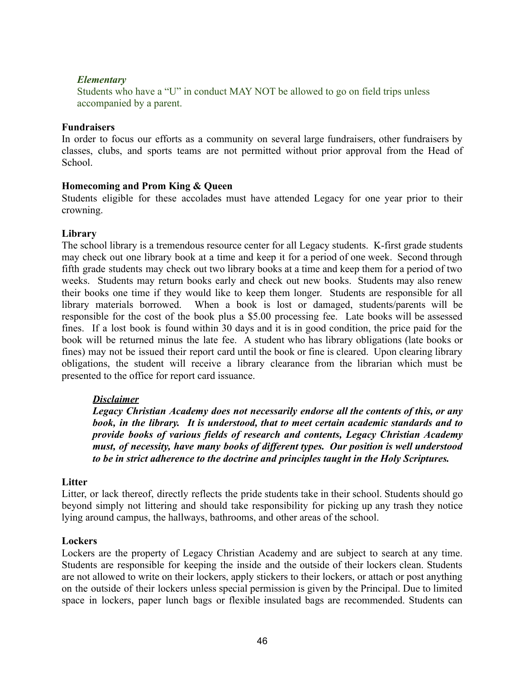#### *Elementary*

Students who have a "U" in conduct MAY NOT be allowed to go on field trips unless accompanied by a parent.

#### **Fundraisers**

In order to focus our efforts as a community on several large fundraisers, other fundraisers by classes, clubs, and sports teams are not permitted without prior approval from the Head of School.

#### **Homecoming and Prom King & Queen**

Students eligible for these accolades must have attended Legacy for one year prior to their crowning.

#### **Library**

The school library is a tremendous resource center for all Legacy students. K-first grade students may check out one library book at a time and keep it for a period of one week. Second through fifth grade students may check out two library books at a time and keep them for a period of two weeks. Students may return books early and check out new books. Students may also renew their books one time if they would like to keep them longer. Students are responsible for all library materials borrowed. When a book is lost or damaged, students/parents will be responsible for the cost of the book plus a \$5.00 processing fee. Late books will be assessed fines. If a lost book is found within 30 days and it is in good condition, the price paid for the book will be returned minus the late fee. A student who has library obligations (late books or fines) may not be issued their report card until the book or fine is cleared. Upon clearing library obligations, the student will receive a library clearance from the librarian which must be presented to the office for report card issuance.

#### *Disclaimer*

*Legacy Christian Academy does not necessarily endorse all the contents of this, or any book, in the library. It is understood, that to meet certain academic standards and to provide books of various fields of research and contents, Legacy Christian Academy must, of necessity, have many books of different types. Our position is well understood to be in strict adherence to the doctrine and principles taught in the Holy Scriptures.*

#### **Litter**

Litter, or lack thereof, directly reflects the pride students take in their school. Students should go beyond simply not littering and should take responsibility for picking up any trash they notice lying around campus, the hallways, bathrooms, and other areas of the school.

#### **Lockers**

Lockers are the property of Legacy Christian Academy and are subject to search at any time. Students are responsible for keeping the inside and the outside of their lockers clean. Students are not allowed to write on their lockers, apply stickers to their lockers, or attach or post anything on the outside of their lockers unless special permission is given by the Principal. Due to limited space in lockers, paper lunch bags or flexible insulated bags are recommended. Students can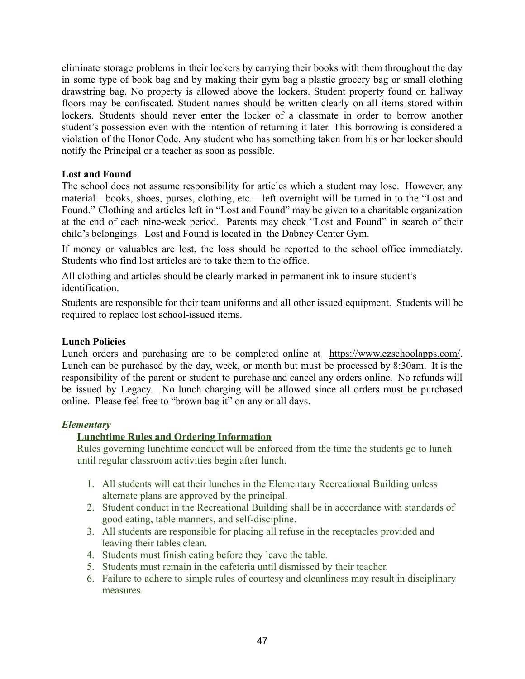eliminate storage problems in their lockers by carrying their books with them throughout the day in some type of book bag and by making their gym bag a plastic grocery bag or small clothing drawstring bag. No property is allowed above the lockers. Student property found on hallway floors may be confiscated. Student names should be written clearly on all items stored within lockers. Students should never enter the locker of a classmate in order to borrow another student's possession even with the intention of returning it later. This borrowing is considered a violation of the Honor Code. Any student who has something taken from his or her locker should notify the Principal or a teacher as soon as possible.

#### **Lost and Found**

The school does not assume responsibility for articles which a student may lose. However, any material—books, shoes, purses, clothing, etc.—left overnight will be turned in to the "Lost and Found." Clothing and articles left in "Lost and Found" may be given to a charitable organization at the end of each nine-week period. Parents may check "Lost and Found" in search of their child's belongings. Lost and Found is located in the Dabney Center Gym.

If money or valuables are lost, the loss should be reported to the school office immediately. Students who find lost articles are to take them to the office.

All clothing and articles should be clearly marked in permanent ink to insure student's identification.

Students are responsible for their team uniforms and all other issued equipment. Students will be required to replace lost school-issued items.

#### **Lunch Policies**

Lunch orders and purchasing are to be completed online at [https://www.ezschoolapps.com/.](https://www.ezschoolapps.com/) Lunch can be purchased by the day, week, or month but must be processed by 8:30am. It is the responsibility of the parent or student to purchase and cancel any orders online. No refunds will be issued by Legacy. No lunch charging will be allowed since all orders must be purchased online. Please feel free to "brown bag it" on any or all days.

#### *Elementary*

#### **Lunchtime Rules and Ordering Information**

Rules governing lunchtime conduct will be enforced from the time the students go to lunch until regular classroom activities begin after lunch.

- 1. All students will eat their lunches in the Elementary Recreational Building unless alternate plans are approved by the principal.
- 2. Student conduct in the Recreational Building shall be in accordance with standards of good eating, table manners, and self-discipline.
- 3. All students are responsible for placing all refuse in the receptacles provided and leaving their tables clean.
- 4. Students must finish eating before they leave the table.
- 5. Students must remain in the cafeteria until dismissed by their teacher.
- 6. Failure to adhere to simple rules of courtesy and cleanliness may result in disciplinary measures.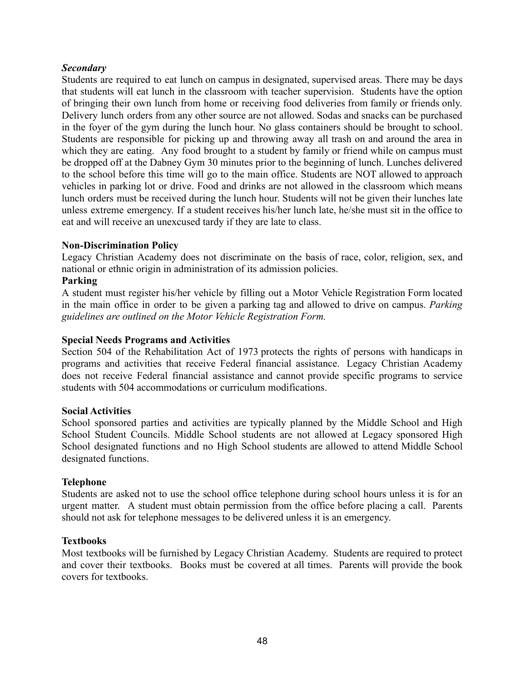#### *Secondary*

Students are required to eat lunch on campus in designated, supervised areas. There may be days that students will eat lunch in the classroom with teacher supervision. Students have the option of bringing their own lunch from home or receiving food deliveries from family or friends only. Delivery lunch orders from any other source are not allowed. Sodas and snacks can be purchased in the foyer of the gym during the lunch hour. No glass containers should be brought to school. Students are responsible for picking up and throwing away all trash on and around the area in which they are eating. Any food brought to a student by family or friend while on campus must be dropped off at the Dabney Gym 30 minutes prior to the beginning of lunch. Lunches delivered to the school before this time will go to the main office. Students are NOT allowed to approach vehicles in parking lot or drive. Food and drinks are not allowed in the classroom which means lunch orders must be received during the lunch hour. Students will not be given their lunches late unless extreme emergency. If a student receives his/her lunch late, he/she must sit in the office to eat and will receive an unexcused tardy if they are late to class.

#### **Non-Discrimination Policy**

Legacy Christian Academy does not discriminate on the basis of race, color, religion, sex, and national or ethnic origin in administration of its admission policies.

#### **Parking**

A student must register his/her vehicle by filling out a Motor Vehicle Registration Form located in the main office in order to be given a parking tag and allowed to drive on campus. *Parking guidelines are outlined on the Motor Vehicle Registration Form.*

#### **Special Needs Programs and Activities**

Section 504 of the Rehabilitation Act of 1973 protects the rights of persons with handicaps in programs and activities that receive Federal financial assistance. Legacy Christian Academy does not receive Federal financial assistance and cannot provide specific programs to service students with 504 accommodations or curriculum modifications.

#### **Social Activities**

School sponsored parties and activities are typically planned by the Middle School and High School Student Councils. Middle School students are not allowed at Legacy sponsored High School designated functions and no High School students are allowed to attend Middle School designated functions.

#### **Telephone**

Students are asked not to use the school office telephone during school hours unless it is for an urgent matter. A student must obtain permission from the office before placing a call. Parents should not ask for telephone messages to be delivered unless it is an emergency.

#### **Textbooks**

Most textbooks will be furnished by Legacy Christian Academy. Students are required to protect and cover their textbooks. Books must be covered at all times. Parents will provide the book covers for textbooks.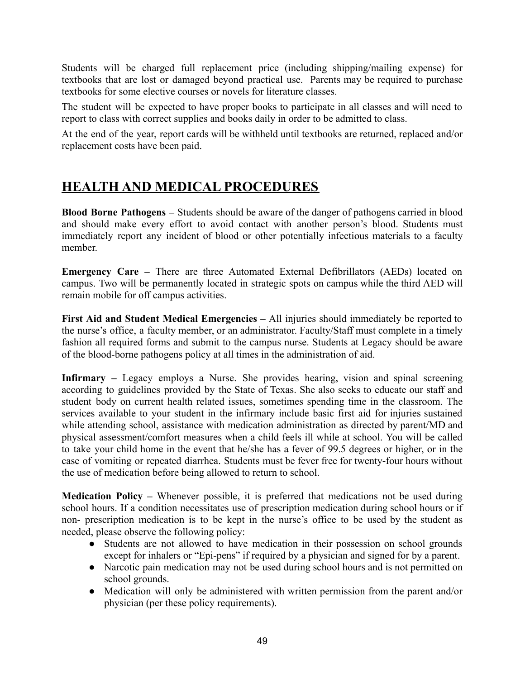Students will be charged full replacement price (including shipping/mailing expense) for textbooks that are lost or damaged beyond practical use. Parents may be required to purchase textbooks for some elective courses or novels for literature classes.

The student will be expected to have proper books to participate in all classes and will need to report to class with correct supplies and books daily in order to be admitted to class.

At the end of the year, report cards will be withheld until textbooks are returned, replaced and/or replacement costs have been paid.

# **HEALTH AND MEDICAL PROCEDURES**

**Blood Borne Pathogens** *–* Students should be aware of the danger of pathogens carried in blood and should make every effort to avoid contact with another person's blood. Students must immediately report any incident of blood or other potentially infectious materials to a faculty member.

**Emergency Care** *–* There are three Automated External Defibrillators (AEDs) located on campus. Two will be permanently located in strategic spots on campus while the third AED will remain mobile for off campus activities.

**First Aid and Student Medical Emergencies** *–* All injuries should immediately be reported to the nurse's office, a faculty member, or an administrator. Faculty/Staff must complete in a timely fashion all required forms and submit to the campus nurse. Students at Legacy should be aware of the blood-borne pathogens policy at all times in the administration of aid.

**Infirmary** *–* Legacy employs a Nurse. She provides hearing, vision and spinal screening according to guidelines provided by the State of Texas. She also seeks to educate our staff and student body on current health related issues, sometimes spending time in the classroom. The services available to your student in the infirmary include basic first aid for injuries sustained while attending school, assistance with medication administration as directed by parent/MD and physical assessment/comfort measures when a child feels ill while at school. You will be called to take your child home in the event that he/she has a fever of 99.5 degrees or higher, or in the case of vomiting or repeated diarrhea. Students must be fever free for twenty-four hours without the use of medication before being allowed to return to school.

**Medication Policy** *–* Whenever possible, it is preferred that medications not be used during school hours. If a condition necessitates use of prescription medication during school hours or if non- prescription medication is to be kept in the nurse's office to be used by the student as needed, please observe the following policy:

- Students are not allowed to have medication in their possession on school grounds except for inhalers or "Epi-pens" if required by a physician and signed for by a parent.
- Narcotic pain medication may not be used during school hours and is not permitted on school grounds.
- Medication will only be administered with written permission from the parent and/or physician (per these policy requirements).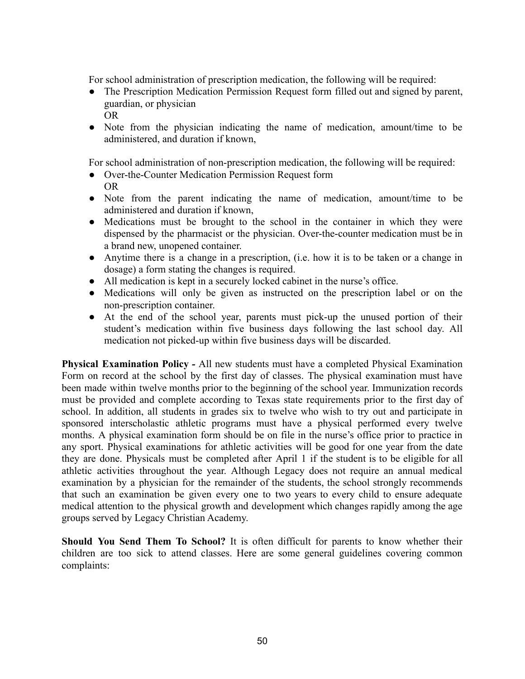For school administration of prescription medication, the following will be required:

- The Prescription Medication Permission Request form filled out and signed by parent, guardian, or physician OR
- Note from the physician indicating the name of medication, amount/time to be administered, and duration if known,

For school administration of non-prescription medication, the following will be required:

- Over-the-Counter Medication Permission Request form OR
- Note from the parent indicating the name of medication, amount/time to be administered and duration if known,
- Medications must be brought to the school in the container in which they were dispensed by the pharmacist or the physician. Over-the-counter medication must be in a brand new, unopened container.
- Anytime there is a change in a prescription, (i.e. how it is to be taken or a change in dosage) a form stating the changes is required.
- All medication is kept in a securely locked cabinet in the nurse's office.
- Medications will only be given as instructed on the prescription label or on the non-prescription container.
- At the end of the school year, parents must pick-up the unused portion of their student's medication within five business days following the last school day. All medication not picked-up within five business days will be discarded.

**Physical Examination Policy** *-* All new students must have a completed Physical Examination Form on record at the school by the first day of classes. The physical examination must have been made within twelve months prior to the beginning of the school year. Immunization records must be provided and complete according to Texas state requirements prior to the first day of school. In addition, all students in grades six to twelve who wish to try out and participate in sponsored interscholastic athletic programs must have a physical performed every twelve months. A physical examination form should be on file in the nurse's office prior to practice in any sport. Physical examinations for athletic activities will be good for one year from the date they are done. Physicals must be completed after April 1 if the student is to be eligible for all athletic activities throughout the year. Although Legacy does not require an annual medical examination by a physician for the remainder of the students, the school strongly recommends that such an examination be given every one to two years to every child to ensure adequate medical attention to the physical growth and development which changes rapidly among the age groups served by Legacy Christian Academy.

**Should You Send Them To School?** It is often difficult for parents to know whether their children are too sick to attend classes. Here are some general guidelines covering common complaints: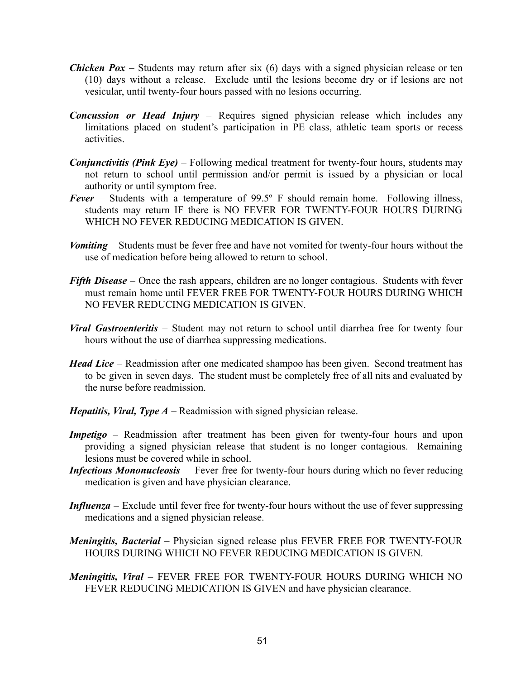- *Chicken Pox* Students may return after six (6) days with a signed physician release or ten (10) days without a release. Exclude until the lesions become dry or if lesions are not vesicular, until twenty-four hours passed with no lesions occurring.
- *Concussion or Head Injury* Requires signed physician release which includes any limitations placed on student's participation in PE class, athletic team sports or recess activities.
- *Conjunctivitis (Pink Eye)* Following medical treatment for twenty-four hours, students may not return to school until permission and/or permit is issued by a physician or local authority or until symptom free.
- *Fever* Students with a temperature of 99.5º F should remain home. Following illness, students may return IF there is NO FEVER FOR TWENTY-FOUR HOURS DURING WHICH NO FEVER REDUCING MEDICATION IS GIVEN.
- *Vomiting* Students must be fever free and have not vomited for twenty-four hours without the use of medication before being allowed to return to school.
- *Fifth Disease* Once the rash appears, children are no longer contagious. Students with fever must remain home until FEVER FREE FOR TWENTY-FOUR HOURS DURING WHICH NO FEVER REDUCING MEDICATION IS GIVEN.
- *Viral Gastroenteritis* Student may not return to school until diarrhea free for twenty four hours without the use of diarrhea suppressing medications.
- *Head Lice* Readmission after one medicated shampoo has been given. Second treatment has to be given in seven days. The student must be completely free of all nits and evaluated by the nurse before readmission.
- *Hepatitis, Viral, Type A* Readmission with signed physician release.
- *Impetigo* Readmission after treatment has been given for twenty-four hours and upon providing a signed physician release that student is no longer contagious. Remaining lesions must be covered while in school.
- *Infectious Mononucleosis –* Fever free for twenty-four hours during which no fever reducing medication is given and have physician clearance.
- *Influenza* Exclude until fever free for twenty-four hours without the use of fever suppressing medications and a signed physician release.
- *Meningitis, Bacterial* Physician signed release plus FEVER FREE FOR TWENTY-FOUR HOURS DURING WHICH NO FEVER REDUCING MEDICATION IS GIVEN.
- *Meningitis, Viral* FEVER FREE FOR TWENTY-FOUR HOURS DURING WHICH NO FEVER REDUCING MEDICATION IS GIVEN and have physician clearance.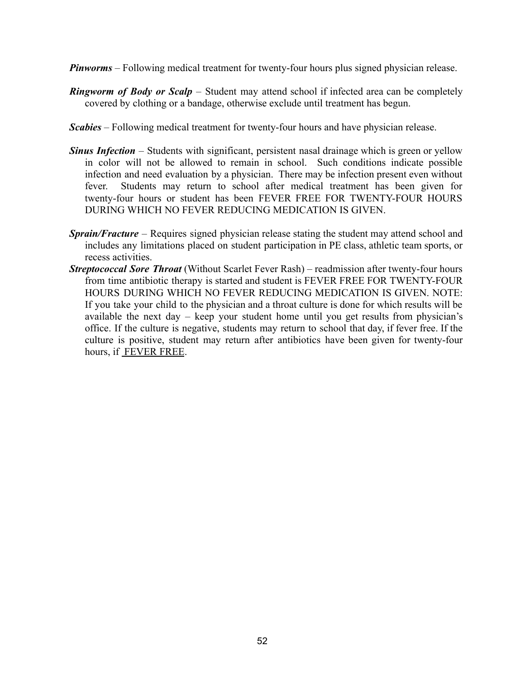- *Pinworms* Following medical treatment for twenty-four hours plus signed physician release.
- *Ringworm of Body or Scalp* Student may attend school if infected area can be completely covered by clothing or a bandage, otherwise exclude until treatment has begun.
- *Scabies* Following medical treatment for twenty-four hours and have physician release.
- *Sinus Infection* Students with significant, persistent nasal drainage which is green or yellow in color will not be allowed to remain in school. Such conditions indicate possible infection and need evaluation by a physician. There may be infection present even without fever. Students may return to school after medical treatment has been given for twenty-four hours or student has been FEVER FREE FOR TWENTY-FOUR HOURS DURING WHICH NO FEVER REDUCING MEDICATION IS GIVEN.
- *Sprain/Fracture* Requires signed physician release stating the student may attend school and includes any limitations placed on student participation in PE class, athletic team sports, or recess activities.
- *Streptococcal Sore Throat* (Without Scarlet Fever Rash) readmission after twenty-four hours from time antibiotic therapy is started and student is FEVER FREE FOR TWENTY-FOUR HOURS DURING WHICH NO FEVER REDUCING MEDICATION IS GIVEN. NOTE: If you take your child to the physician and a throat culture is done for which results will be available the next day – keep your student home until you get results from physician's office. If the culture is negative, students may return to school that day, if fever free. If the culture is positive, student may return after antibiotics have been given for twenty-four hours, if FEVER FREE.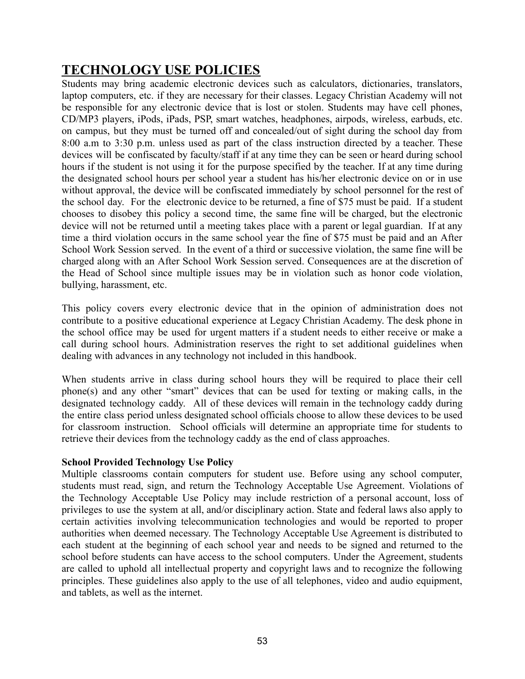# **TECHNOLOGY USE POLICIES**

Students may bring academic electronic devices such as calculators, dictionaries, translators, laptop computers, etc. if they are necessary for their classes. Legacy Christian Academy will not be responsible for any electronic device that is lost or stolen. Students may have cell phones, CD/MP3 players, iPods, iPads, PSP, smart watches, headphones, airpods, wireless, earbuds, etc. on campus, but they must be turned off and concealed/out of sight during the school day from 8:00 a.m to 3:30 p.m. unless used as part of the class instruction directed by a teacher. These devices will be confiscated by faculty/staff if at any time they can be seen or heard during school hours if the student is not using it for the purpose specified by the teacher. If at any time during the designated school hours per school year a student has his/her electronic device on or in use without approval, the device will be confiscated immediately by school personnel for the rest of the school day. For the electronic device to be returned, a fine of \$75 must be paid. If a student chooses to disobey this policy a second time, the same fine will be charged, but the electronic device will not be returned until a meeting takes place with a parent or legal guardian. If at any time a third violation occurs in the same school year the fine of \$75 must be paid and an After School Work Session served. In the event of a third or successive violation, the same fine will be charged along with an After School Work Session served. Consequences are at the discretion of the Head of School since multiple issues may be in violation such as honor code violation, bullying, harassment, etc.

This policy covers every electronic device that in the opinion of administration does not contribute to a positive educational experience at Legacy Christian Academy. The desk phone in the school office may be used for urgent matters if a student needs to either receive or make a call during school hours. Administration reserves the right to set additional guidelines when dealing with advances in any technology not included in this handbook.

When students arrive in class during school hours they will be required to place their cell phone(s) and any other "smart" devices that can be used for texting or making calls, in the designated technology caddy. All of these devices will remain in the technology caddy during the entire class period unless designated school officials choose to allow these devices to be used for classroom instruction. School officials will determine an appropriate time for students to retrieve their devices from the technology caddy as the end of class approaches.

#### **School Provided Technology Use Policy**

Multiple classrooms contain computers for student use. Before using any school computer, students must read, sign, and return the Technology Acceptable Use Agreement. Violations of the Technology Acceptable Use Policy may include restriction of a personal account, loss of privileges to use the system at all, and/or disciplinary action. State and federal laws also apply to certain activities involving telecommunication technologies and would be reported to proper authorities when deemed necessary. The Technology Acceptable Use Agreement is distributed to each student at the beginning of each school year and needs to be signed and returned to the school before students can have access to the school computers. Under the Agreement, students are called to uphold all intellectual property and copyright laws and to recognize the following principles. These guidelines also apply to the use of all telephones, video and audio equipment, and tablets, as well as the internet.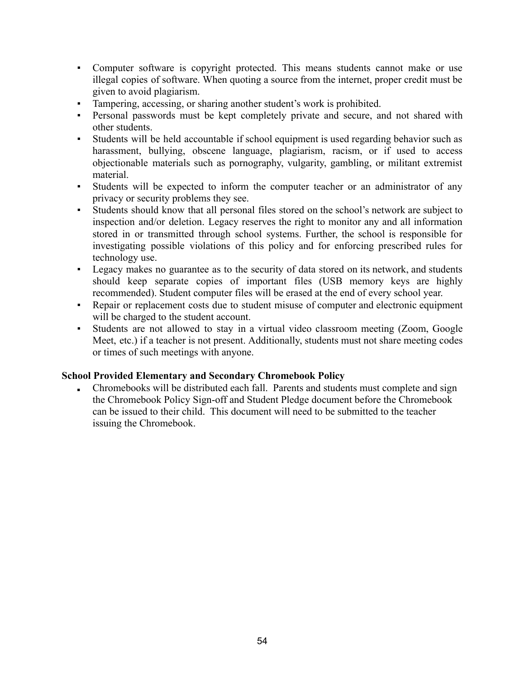- Computer software is copyright protected. This means students cannot make or use illegal copies of software. When quoting a source from the internet, proper credit must be given to avoid plagiarism.
- Tampering, accessing, or sharing another student's work is prohibited.
- Personal passwords must be kept completely private and secure, and not shared with other students.
- Students will be held accountable if school equipment is used regarding behavior such as harassment, bullying, obscene language, plagiarism, racism, or if used to access objectionable materials such as pornography, vulgarity, gambling, or militant extremist material.
- Students will be expected to inform the computer teacher or an administrator of any privacy or security problems they see.
- Students should know that all personal files stored on the school's network are subject to inspection and/or deletion. Legacy reserves the right to monitor any and all information stored in or transmitted through school systems. Further, the school is responsible for investigating possible violations of this policy and for enforcing prescribed rules for technology use.
- Legacy makes no guarantee as to the security of data stored on its network, and students should keep separate copies of important files (USB memory keys are highly recommended). Student computer files will be erased at the end of every school year.
- Repair or replacement costs due to student misuse of computer and electronic equipment will be charged to the student account.
- Students are not allowed to stay in a virtual video classroom meeting (Zoom, Google Meet, etc.) if a teacher is not present. Additionally, students must not share meeting codes or times of such meetings with anyone.

#### **School Provided Elementary and Secondary Chromebook Policy**

Chromebooks will be distributed each fall. Parents and students must complete and sign the Chromebook Policy Sign-off and Student Pledge document before the Chromebook can be issued to their child. This document will need to be submitted to the teacher issuing the Chromebook.